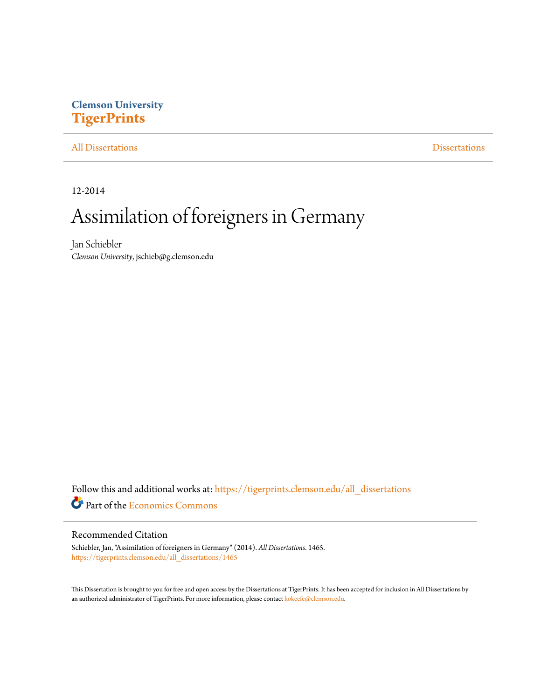## **Clemson University [TigerPrints](https://tigerprints.clemson.edu?utm_source=tigerprints.clemson.edu%2Fall_dissertations%2F1465&utm_medium=PDF&utm_campaign=PDFCoverPages)**

#### [All Dissertations](https://tigerprints.clemson.edu/all_dissertations?utm_source=tigerprints.clemson.edu%2Fall_dissertations%2F1465&utm_medium=PDF&utm_campaign=PDFCoverPages) [Dissertations](https://tigerprints.clemson.edu/dissertations?utm_source=tigerprints.clemson.edu%2Fall_dissertations%2F1465&utm_medium=PDF&utm_campaign=PDFCoverPages)

12-2014

## Assimilation of foreigners in Germany

Jan Schiebler *Clemson University*, jschieb@g.clemson.edu

Follow this and additional works at: [https://tigerprints.clemson.edu/all\\_dissertations](https://tigerprints.clemson.edu/all_dissertations?utm_source=tigerprints.clemson.edu%2Fall_dissertations%2F1465&utm_medium=PDF&utm_campaign=PDFCoverPages) Part of the [Economics Commons](http://network.bepress.com/hgg/discipline/340?utm_source=tigerprints.clemson.edu%2Fall_dissertations%2F1465&utm_medium=PDF&utm_campaign=PDFCoverPages)

#### Recommended Citation

Schiebler, Jan, "Assimilation of foreigners in Germany" (2014). *All Dissertations*. 1465. [https://tigerprints.clemson.edu/all\\_dissertations/1465](https://tigerprints.clemson.edu/all_dissertations/1465?utm_source=tigerprints.clemson.edu%2Fall_dissertations%2F1465&utm_medium=PDF&utm_campaign=PDFCoverPages)

This Dissertation is brought to you for free and open access by the Dissertations at TigerPrints. It has been accepted for inclusion in All Dissertations by an authorized administrator of TigerPrints. For more information, please contact [kokeefe@clemson.edu.](mailto:kokeefe@clemson.edu)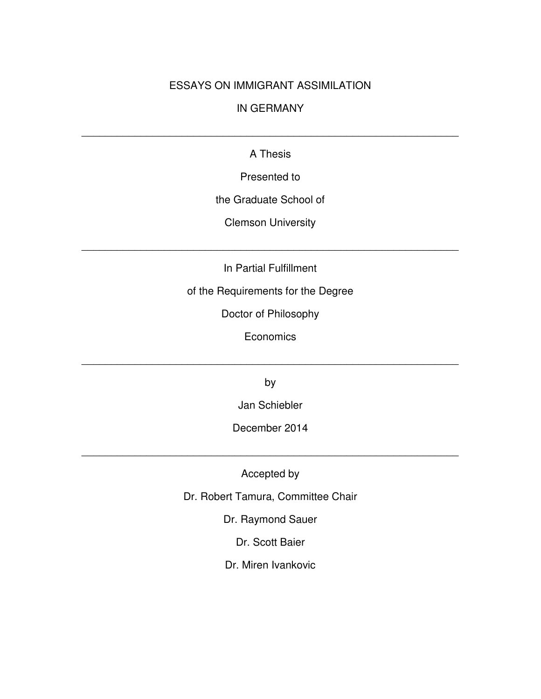#### ESSAYS ON IMMIGRANT ASSIMILATION

#### IN GERMANY

#### A Thesis

\_\_\_\_\_\_\_\_\_\_\_\_\_\_\_\_\_\_\_\_\_\_\_\_\_\_\_\_\_\_\_\_\_\_\_\_\_\_\_\_\_\_\_\_\_\_\_\_\_\_\_\_\_\_\_\_\_\_\_\_\_\_\_\_

Presented to

the Graduate School of

Clemson University

In Partial Fulfillment

\_\_\_\_\_\_\_\_\_\_\_\_\_\_\_\_\_\_\_\_\_\_\_\_\_\_\_\_\_\_\_\_\_\_\_\_\_\_\_\_\_\_\_\_\_\_\_\_\_\_\_\_\_\_\_\_\_\_\_\_\_\_\_\_

of the Requirements for the Degree

Doctor of Philosophy

**Economics** 

\_\_\_\_\_\_\_\_\_\_\_\_\_\_\_\_\_\_\_\_\_\_\_\_\_\_\_\_\_\_\_\_\_\_\_\_\_\_\_\_\_\_\_\_\_\_\_\_\_\_\_\_\_\_\_\_\_\_\_\_\_\_\_\_

by

Jan Schiebler

December 2014

\_\_\_\_\_\_\_\_\_\_\_\_\_\_\_\_\_\_\_\_\_\_\_\_\_\_\_\_\_\_\_\_\_\_\_\_\_\_\_\_\_\_\_\_\_\_\_\_\_\_\_\_\_\_\_\_\_\_\_\_\_\_\_\_

Accepted by

Dr. Robert Tamura, Committee Chair

Dr. Raymond Sauer

Dr. Scott Baier

Dr. Miren Ivankovic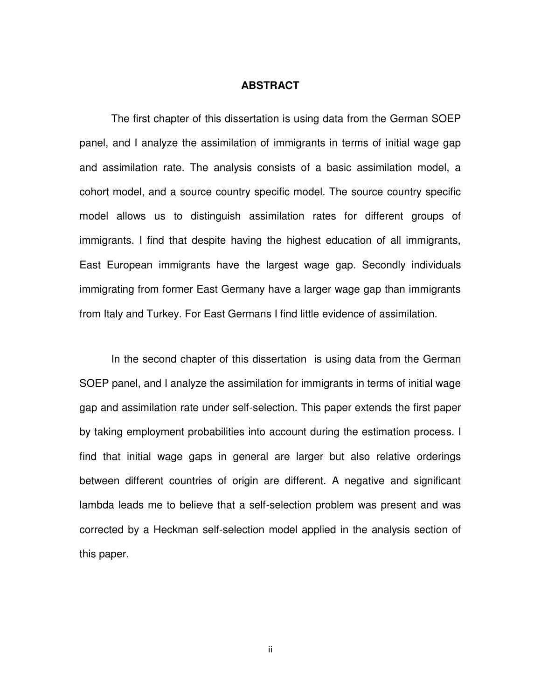#### **ABSTRACT**

The first chapter of this dissertation is using data from the German SOEP panel, and I analyze the assimilation of immigrants in terms of initial wage gap and assimilation rate. The analysis consists of a basic assimilation model, a cohort model, and a source country specific model. The source country specific model allows us to distinguish assimilation rates for different groups of immigrants. I find that despite having the highest education of all immigrants, East European immigrants have the largest wage gap. Secondly individuals immigrating from former East Germany have a larger wage gap than immigrants from Italy and Turkey. For East Germans I find little evidence of assimilation.

 In the second chapter of this dissertation is using data from the German SOEP panel, and I analyze the assimilation for immigrants in terms of initial wage gap and assimilation rate under self-selection. This paper extends the first paper by taking employment probabilities into account during the estimation process. I find that initial wage gaps in general are larger but also relative orderings between different countries of origin are different. A negative and significant lambda leads me to believe that a self-selection problem was present and was corrected by a Heckman self-selection model applied in the analysis section of this paper.

ii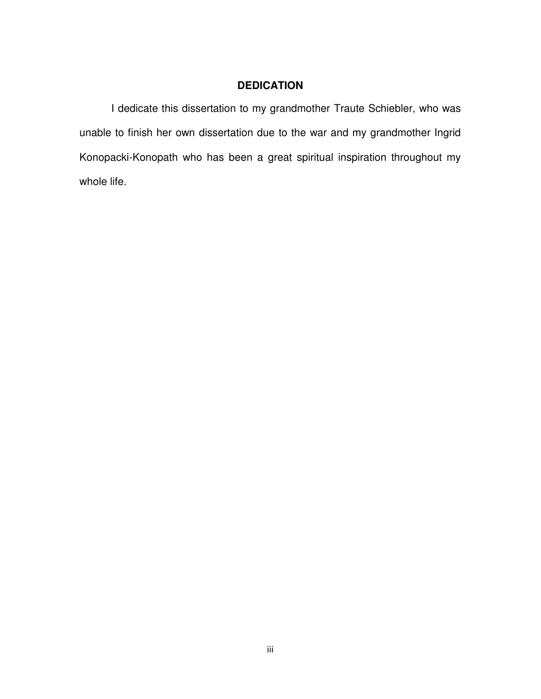### **DEDICATION**

I dedicate this dissertation to my grandmother Traute Schiebler, who was unable to finish her own dissertation due to the war and my grandmother Ingrid Konopacki-Konopath who has been a great spiritual inspiration throughout my whole life.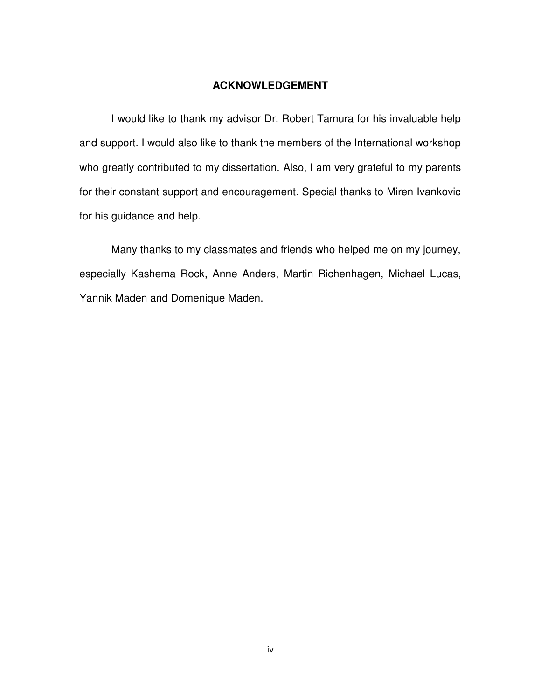#### **ACKNOWLEDGEMENT**

I would like to thank my advisor Dr. Robert Tamura for his invaluable help and support. I would also like to thank the members of the International workshop who greatly contributed to my dissertation. Also, I am very grateful to my parents for their constant support and encouragement. Special thanks to Miren Ivankovic for his guidance and help.

Many thanks to my classmates and friends who helped me on my journey, especially Kashema Rock, Anne Anders, Martin Richenhagen, Michael Lucas, Yannik Maden and Domenique Maden.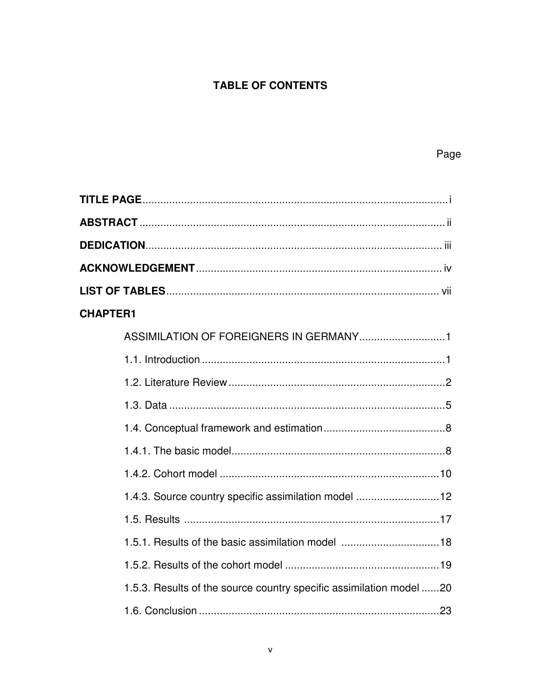## **TABLE OF CONTENTS**

| <b>CHAPTER1</b>                                                     |
|---------------------------------------------------------------------|
|                                                                     |
|                                                                     |
|                                                                     |
|                                                                     |
|                                                                     |
|                                                                     |
|                                                                     |
| 1.4.3. Source country specific assimilation model 12                |
|                                                                     |
| 1.5.1. Results of the basic assimilation model 18                   |
|                                                                     |
| 1.5.3. Results of the source country specific assimilation model 20 |
|                                                                     |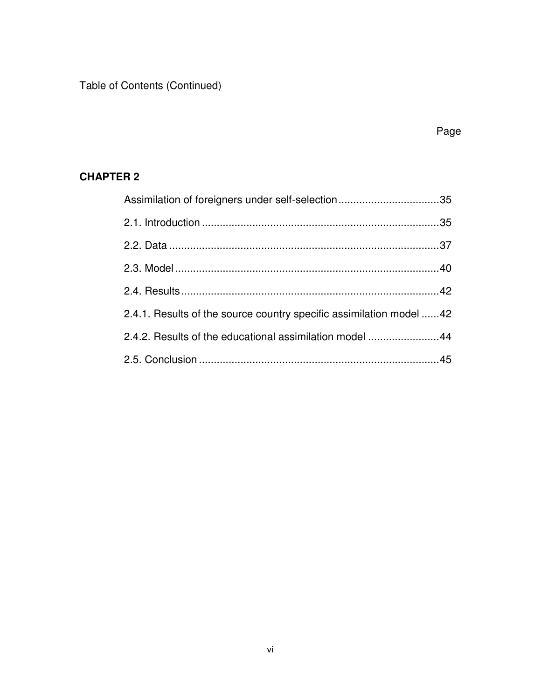Table of Contents (Continued)

## **CHAPTER 2**

| Assimilation of foreigners under self-selection35                   |  |
|---------------------------------------------------------------------|--|
|                                                                     |  |
|                                                                     |  |
|                                                                     |  |
|                                                                     |  |
| 2.4.1. Results of the source country specific assimilation model 42 |  |
| 2.4.2. Results of the educational assimilation model 44             |  |
|                                                                     |  |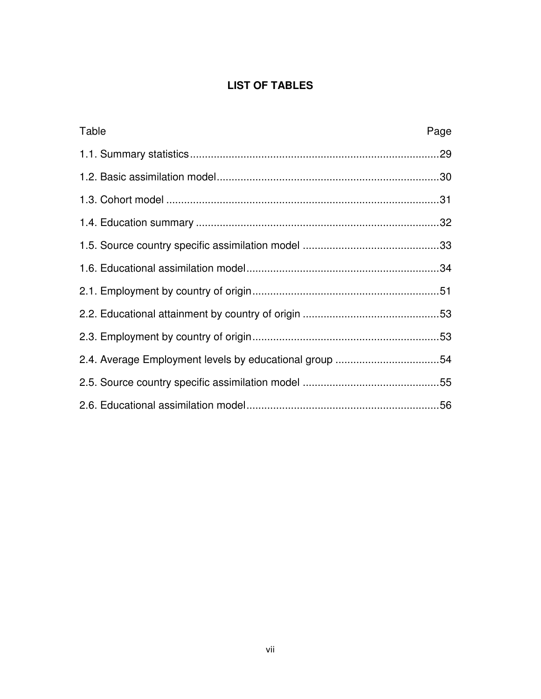## **LIST OF TABLES**

| Table                                                  | Page |
|--------------------------------------------------------|------|
|                                                        |      |
|                                                        |      |
|                                                        |      |
|                                                        |      |
|                                                        |      |
|                                                        |      |
|                                                        |      |
|                                                        |      |
|                                                        |      |
| 2.4. Average Employment levels by educational group 54 |      |
|                                                        |      |
|                                                        |      |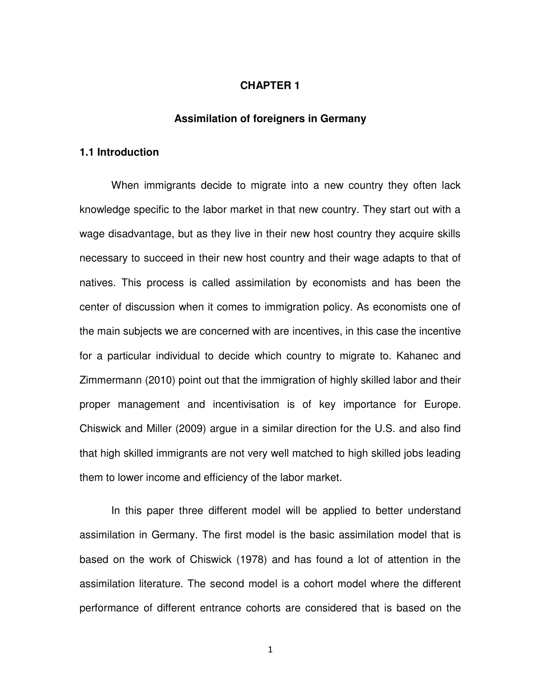#### **CHAPTER 1**

#### **Assimilation of foreigners in Germany**

#### **1.1 Introduction**

When immigrants decide to migrate into a new country they often lack knowledge specific to the labor market in that new country. They start out with a wage disadvantage, but as they live in their new host country they acquire skills necessary to succeed in their new host country and their wage adapts to that of natives. This process is called assimilation by economists and has been the center of discussion when it comes to immigration policy. As economists one of the main subjects we are concerned with are incentives, in this case the incentive for a particular individual to decide which country to migrate to. Kahanec and Zimmermann (2010) point out that the immigration of highly skilled labor and their proper management and incentivisation is of key importance for Europe. Chiswick and Miller (2009) argue in a similar direction for the U.S. and also find that high skilled immigrants are not very well matched to high skilled jobs leading them to lower income and efficiency of the labor market.

In this paper three different model will be applied to better understand assimilation in Germany. The first model is the basic assimilation model that is based on the work of Chiswick (1978) and has found a lot of attention in the assimilation literature. The second model is a cohort model where the different performance of different entrance cohorts are considered that is based on the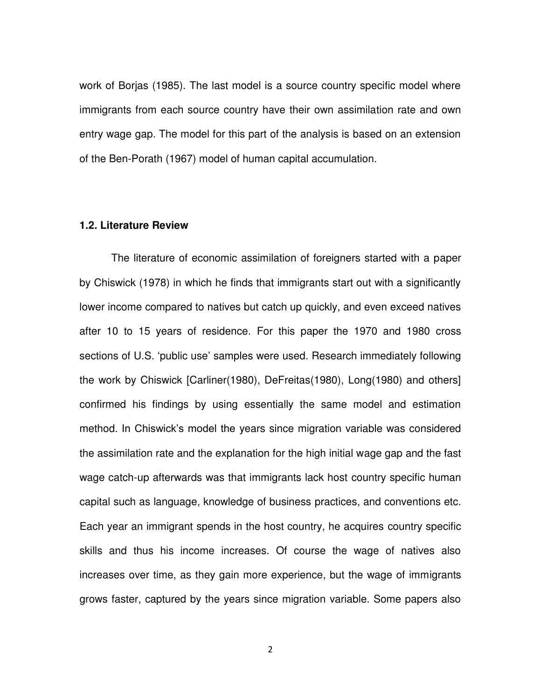work of Borjas (1985). The last model is a source country specific model where immigrants from each source country have their own assimilation rate and own entry wage gap. The model for this part of the analysis is based on an extension of the Ben-Porath (1967) model of human capital accumulation.

#### **1.2. Literature Review**

The literature of economic assimilation of foreigners started with a paper by Chiswick (1978) in which he finds that immigrants start out with a significantly lower income compared to natives but catch up quickly, and even exceed natives after 10 to 15 years of residence. For this paper the 1970 and 1980 cross sections of U.S. "public use' samples were used. Research immediately following the work by Chiswick [Carliner(1980), DeFreitas(1980), Long(1980) and others] confirmed his findings by using essentially the same model and estimation method. In Chiswick's model the years since migration variable was considered the assimilation rate and the explanation for the high initial wage gap and the fast wage catch-up afterwards was that immigrants lack host country specific human capital such as language, knowledge of business practices, and conventions etc. Each year an immigrant spends in the host country, he acquires country specific skills and thus his income increases. Of course the wage of natives also increases over time, as they gain more experience, but the wage of immigrants grows faster, captured by the years since migration variable. Some papers also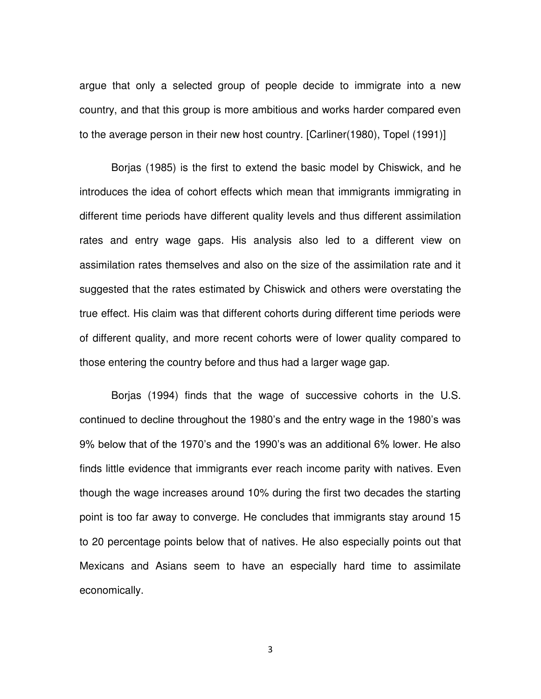argue that only a selected group of people decide to immigrate into a new country, and that this group is more ambitious and works harder compared even to the average person in their new host country. [Carliner(1980), Topel (1991)]

Borjas (1985) is the first to extend the basic model by Chiswick, and he introduces the idea of cohort effects which mean that immigrants immigrating in different time periods have different quality levels and thus different assimilation rates and entry wage gaps. His analysis also led to a different view on assimilation rates themselves and also on the size of the assimilation rate and it suggested that the rates estimated by Chiswick and others were overstating the true effect. His claim was that different cohorts during different time periods were of different quality, and more recent cohorts were of lower quality compared to those entering the country before and thus had a larger wage gap.

Borjas (1994) finds that the wage of successive cohorts in the U.S. continued to decline throughout the 1980's and the entry wage in the 1980's was 9% below that of the 1970's and the 1990's was an additional 6% lower. He also finds little evidence that immigrants ever reach income parity with natives. Even though the wage increases around 10% during the first two decades the starting point is too far away to converge. He concludes that immigrants stay around 15 to 20 percentage points below that of natives. He also especially points out that Mexicans and Asians seem to have an especially hard time to assimilate economically.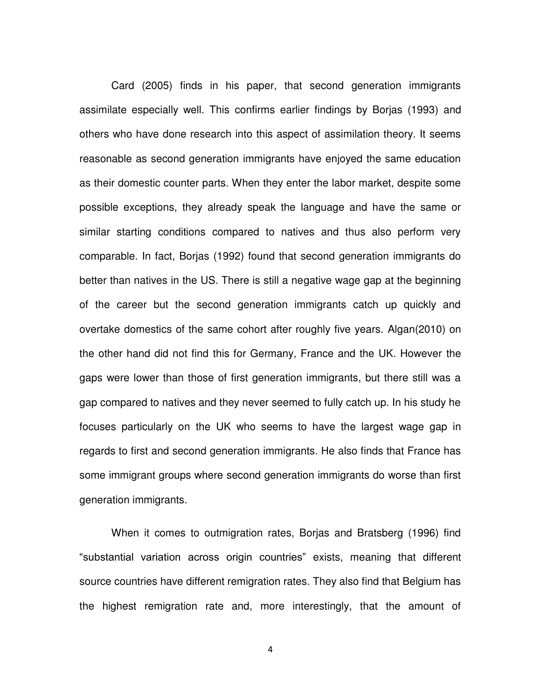Card (2005) finds in his paper, that second generation immigrants assimilate especially well. This confirms earlier findings by Borjas (1993) and others who have done research into this aspect of assimilation theory. It seems reasonable as second generation immigrants have enjoyed the same education as their domestic counter parts. When they enter the labor market, despite some possible exceptions, they already speak the language and have the same or similar starting conditions compared to natives and thus also perform very comparable. In fact, Borjas (1992) found that second generation immigrants do better than natives in the US. There is still a negative wage gap at the beginning of the career but the second generation immigrants catch up quickly and overtake domestics of the same cohort after roughly five years. Algan(2010) on the other hand did not find this for Germany, France and the UK. However the gaps were lower than those of first generation immigrants, but there still was a gap compared to natives and they never seemed to fully catch up. In his study he focuses particularly on the UK who seems to have the largest wage gap in regards to first and second generation immigrants. He also finds that France has some immigrant groups where second generation immigrants do worse than first generation immigrants.

When it comes to outmigration rates, Borjas and Bratsberg (1996) find "substantial variation across origin countries" exists, meaning that different source countries have different remigration rates. They also find that Belgium has the highest remigration rate and, more interestingly, that the amount of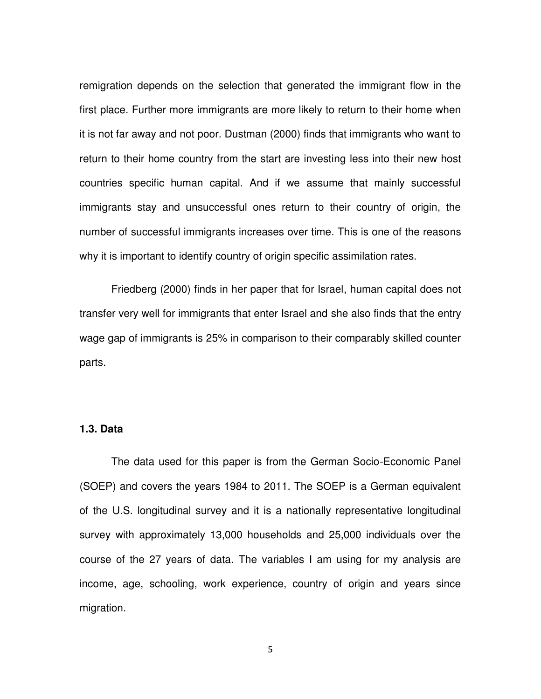remigration depends on the selection that generated the immigrant flow in the first place. Further more immigrants are more likely to return to their home when it is not far away and not poor. Dustman (2000) finds that immigrants who want to return to their home country from the start are investing less into their new host countries specific human capital. And if we assume that mainly successful immigrants stay and unsuccessful ones return to their country of origin, the number of successful immigrants increases over time. This is one of the reasons why it is important to identify country of origin specific assimilation rates.

Friedberg (2000) finds in her paper that for Israel, human capital does not transfer very well for immigrants that enter Israel and she also finds that the entry wage gap of immigrants is 25% in comparison to their comparably skilled counter parts.

#### **1.3. Data**

The data used for this paper is from the German Socio-Economic Panel (SOEP) and covers the years 1984 to 2011. The SOEP is a German equivalent of the U.S. longitudinal survey and it is a nationally representative longitudinal survey with approximately 13,000 households and 25,000 individuals over the course of the 27 years of data. The variables I am using for my analysis are income, age, schooling, work experience, country of origin and years since migration.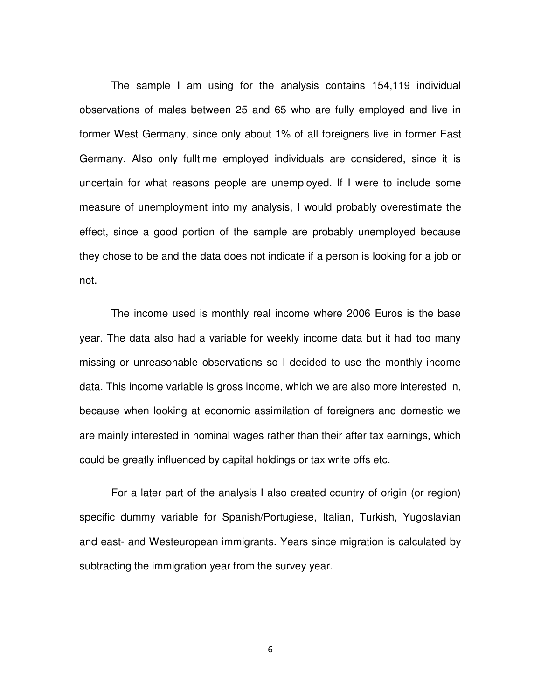The sample I am using for the analysis contains 154,119 individual observations of males between 25 and 65 who are fully employed and live in former West Germany, since only about 1% of all foreigners live in former East Germany. Also only fulltime employed individuals are considered, since it is uncertain for what reasons people are unemployed. If I were to include some measure of unemployment into my analysis, I would probably overestimate the effect, since a good portion of the sample are probably unemployed because they chose to be and the data does not indicate if a person is looking for a job or not.

The income used is monthly real income where 2006 Euros is the base year. The data also had a variable for weekly income data but it had too many missing or unreasonable observations so I decided to use the monthly income data. This income variable is gross income, which we are also more interested in, because when looking at economic assimilation of foreigners and domestic we are mainly interested in nominal wages rather than their after tax earnings, which could be greatly influenced by capital holdings or tax write offs etc.

For a later part of the analysis I also created country of origin (or region) specific dummy variable for Spanish/Portugiese, Italian, Turkish, Yugoslavian and east- and Westeuropean immigrants. Years since migration is calculated by subtracting the immigration year from the survey year.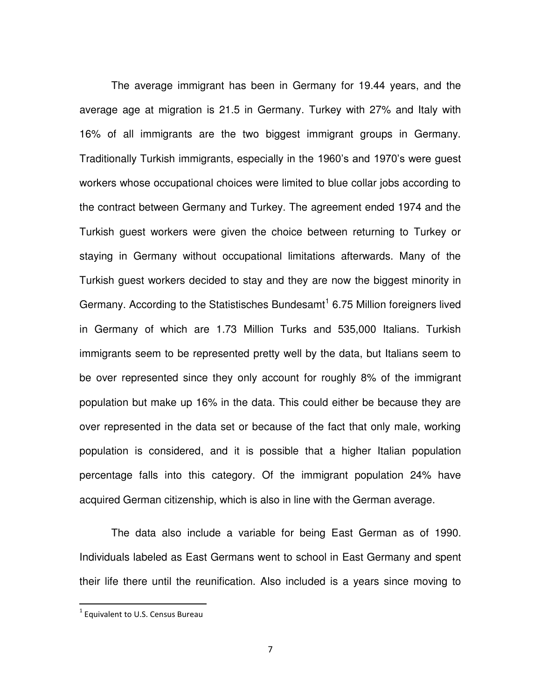The average immigrant has been in Germany for 19.44 years, and the average age at migration is 21.5 in Germany. Turkey with 27% and Italy with 16% of all immigrants are the two biggest immigrant groups in Germany. Traditionally Turkish immigrants, especially in the 1960's and 1970's were guest workers whose occupational choices were limited to blue collar jobs according to the contract between Germany and Turkey. The agreement ended 1974 and the Turkish guest workers were given the choice between returning to Turkey or staying in Germany without occupational limitations afterwards. Many of the Turkish guest workers decided to stay and they are now the biggest minority in Germany. According to the Statistisches Bundesamt<sup>1</sup> 6.75 Million foreigners lived in Germany of which are 1.73 Million Turks and 535,000 Italians. Turkish immigrants seem to be represented pretty well by the data, but Italians seem to be over represented since they only account for roughly 8% of the immigrant population but make up 16% in the data. This could either be because they are over represented in the data set or because of the fact that only male, working population is considered, and it is possible that a higher Italian population percentage falls into this category. Of the immigrant population 24% have acquired German citizenship, which is also in line with the German average.

The data also include a variable for being East German as of 1990. Individuals labeled as East Germans went to school in East Germany and spent their life there until the reunification. Also included is a years since moving to

l

 $<sup>1</sup>$  Equivalent to U.S. Census Bureau</sup>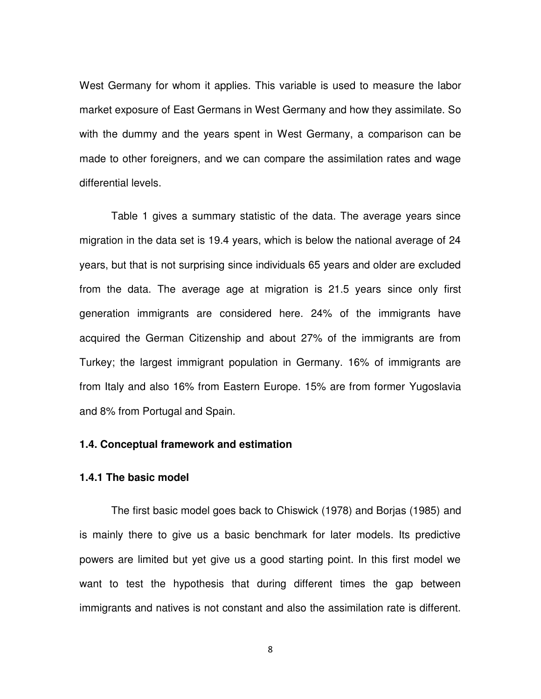West Germany for whom it applies. This variable is used to measure the labor market exposure of East Germans in West Germany and how they assimilate. So with the dummy and the years spent in West Germany, a comparison can be made to other foreigners, and we can compare the assimilation rates and wage differential levels.

Table 1 gives a summary statistic of the data. The average years since migration in the data set is 19.4 years, which is below the national average of 24 years, but that is not surprising since individuals 65 years and older are excluded from the data. The average age at migration is 21.5 years since only first generation immigrants are considered here. 24% of the immigrants have acquired the German Citizenship and about 27% of the immigrants are from Turkey; the largest immigrant population in Germany. 16% of immigrants are from Italy and also 16% from Eastern Europe. 15% are from former Yugoslavia and 8% from Portugal and Spain.

#### **1.4. Conceptual framework and estimation**

#### **1.4.1 The basic model**

The first basic model goes back to Chiswick (1978) and Borjas (1985) and is mainly there to give us a basic benchmark for later models. Its predictive powers are limited but yet give us a good starting point. In this first model we want to test the hypothesis that during different times the gap between immigrants and natives is not constant and also the assimilation rate is different.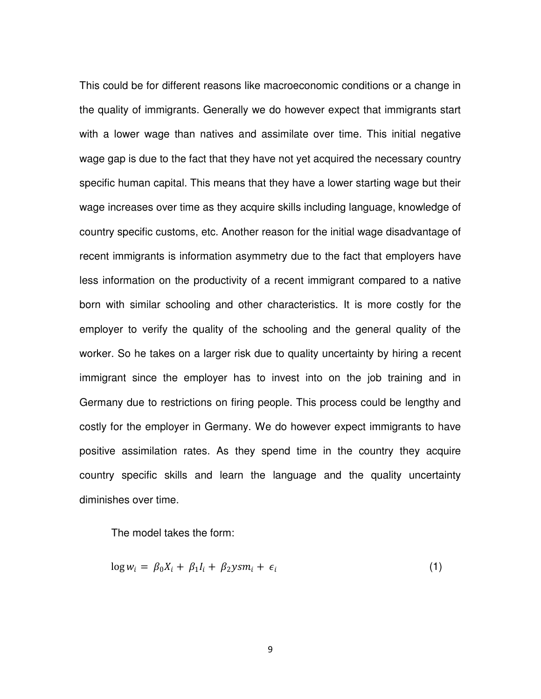This could be for different reasons like macroeconomic conditions or a change in the quality of immigrants. Generally we do however expect that immigrants start with a lower wage than natives and assimilate over time. This initial negative wage gap is due to the fact that they have not yet acquired the necessary country specific human capital. This means that they have a lower starting wage but their wage increases over time as they acquire skills including language, knowledge of country specific customs, etc. Another reason for the initial wage disadvantage of recent immigrants is information asymmetry due to the fact that employers have less information on the productivity of a recent immigrant compared to a native born with similar schooling and other characteristics. It is more costly for the employer to verify the quality of the schooling and the general quality of the worker. So he takes on a larger risk due to quality uncertainty by hiring a recent immigrant since the employer has to invest into on the job training and in Germany due to restrictions on firing people. This process could be lengthy and costly for the employer in Germany. We do however expect immigrants to have positive assimilation rates. As they spend time in the country they acquire country specific skills and learn the language and the quality uncertainty diminishes over time.

The model takes the form:

$$
\log w_i = \beta_0 X_i + \beta_1 I_i + \beta_2 y s m_i + \epsilon_i \tag{1}
$$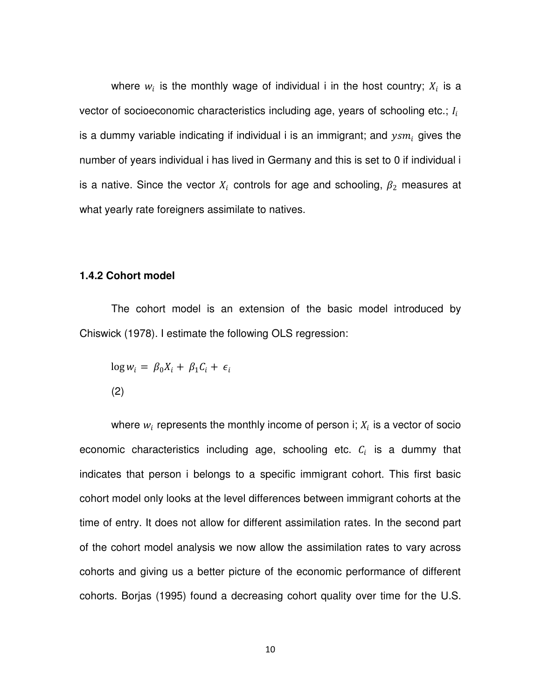where  $w_i$  is the monthly wage of individual i in the host country;  $X_i$  is a vector of socioeconomic characteristics including age, years of schooling etc.;  $I_i$ is a dummy variable indicating if individual i is an immigrant; and  $ysm_i$  gives the number of years individual i has lived in Germany and this is set to 0 if individual i is a native. Since the vector  $X_i$  controls for age and schooling,  $\beta_2$  measures at what yearly rate foreigners assimilate to natives.

#### **1.4.2 Cohort model**

The cohort model is an extension of the basic model introduced by Chiswick (1978). I estimate the following OLS regression:

$$
\log w_i = \beta_0 X_i + \beta_1 C_i + \epsilon_i
$$
\n(2)

where  $w_i$  represents the monthly income of person i;  $X_i$  is a vector of socio economic characteristics including age, schooling etc.  $c_i$  is a dummy that indicates that person i belongs to a specific immigrant cohort. This first basic cohort model only looks at the level differences between immigrant cohorts at the time of entry. It does not allow for different assimilation rates. In the second part of the cohort model analysis we now allow the assimilation rates to vary across cohorts and giving us a better picture of the economic performance of different cohorts. Borjas (1995) found a decreasing cohort quality over time for the U.S.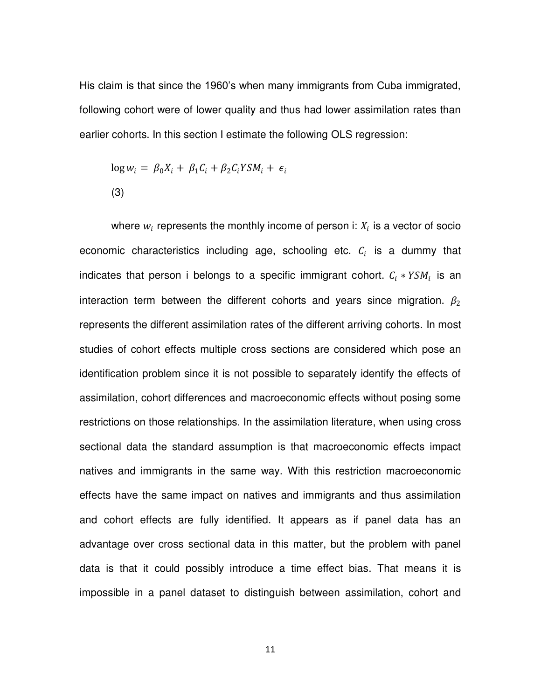His claim is that since the 1960's when many immigrants from Cuba immigrated, following cohort were of lower quality and thus had lower assimilation rates than earlier cohorts. In this section I estimate the following OLS regression:

$$
\log w_i = \beta_0 X_i + \beta_1 C_i + \beta_2 C_i Y S M_i + \epsilon_i
$$
\n(3)

where  $w_i$  represents the monthly income of person i:  $X_i$  is a vector of socio economic characteristics including age, schooling etc.  $c_i$  is a dummy that indicates that person i belongs to a specific immigrant cohort.  $c_i * YSM_i$  is an interaction term between the different cohorts and years since migration.  $\beta_2$ represents the different assimilation rates of the different arriving cohorts. In most studies of cohort effects multiple cross sections are considered which pose an identification problem since it is not possible to separately identify the effects of assimilation, cohort differences and macroeconomic effects without posing some restrictions on those relationships. In the assimilation literature, when using cross sectional data the standard assumption is that macroeconomic effects impact natives and immigrants in the same way. With this restriction macroeconomic effects have the same impact on natives and immigrants and thus assimilation and cohort effects are fully identified. It appears as if panel data has an advantage over cross sectional data in this matter, but the problem with panel data is that it could possibly introduce a time effect bias. That means it is impossible in a panel dataset to distinguish between assimilation, cohort and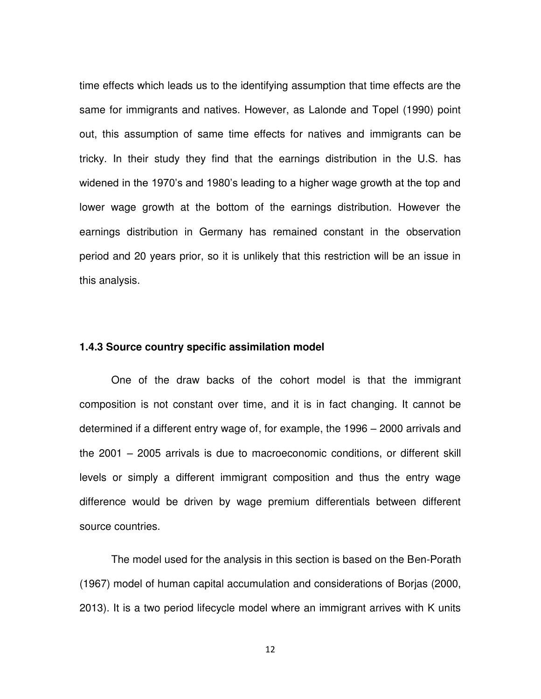time effects which leads us to the identifying assumption that time effects are the same for immigrants and natives. However, as Lalonde and Topel (1990) point out, this assumption of same time effects for natives and immigrants can be tricky. In their study they find that the earnings distribution in the U.S. has widened in the 1970's and 1980's leading to a higher wage growth at the top and lower wage growth at the bottom of the earnings distribution. However the earnings distribution in Germany has remained constant in the observation period and 20 years prior, so it is unlikely that this restriction will be an issue in this analysis.

#### **1.4.3 Source country specific assimilation model**

One of the draw backs of the cohort model is that the immigrant composition is not constant over time, and it is in fact changing. It cannot be determined if a different entry wage of, for example, the 1996 – 2000 arrivals and the 2001 – 2005 arrivals is due to macroeconomic conditions, or different skill levels or simply a different immigrant composition and thus the entry wage difference would be driven by wage premium differentials between different source countries.

The model used for the analysis in this section is based on the Ben-Porath (1967) model of human capital accumulation and considerations of Borjas (2000, 2013). It is a two period lifecycle model where an immigrant arrives with K units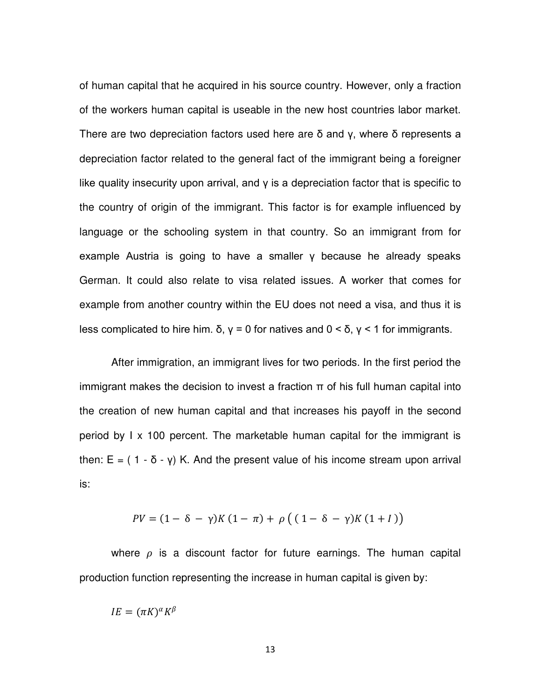of human capital that he acquired in his source country. However, only a fraction of the workers human capital is useable in the new host countries labor market. There are two depreciation factors used here are  $\delta$  and  $\gamma$ , where  $\delta$  represents a depreciation factor related to the general fact of the immigrant being a foreigner like quality insecurity upon arrival, and  $\gamma$  is a depreciation factor that is specific to the country of origin of the immigrant. This factor is for example influenced by language or the schooling system in that country. So an immigrant from for example Austria is going to have a smaller  $\gamma$  because he already speaks German. It could also relate to visa related issues. A worker that comes for example from another country within the EU does not need a visa, and thus it is less complicated to hire him. δ,  $\gamma = 0$  for natives and  $0 < \delta$ ,  $\gamma < 1$  for immigrants.

After immigration, an immigrant lives for two periods. In the first period the immigrant makes the decision to invest a fraction π of his full human capital into the creation of new human capital and that increases his payoff in the second period by I x 100 percent. The marketable human capital for the immigrant is then:  $E = (1 - \delta - \gamma)$  K. And the present value of his income stream upon arrival is:

$$
PV = (1 - \delta - \gamma)K(1 - \pi) + \rho ((1 - \delta - \gamma)K(1 + I))
$$

where  $\rho$  is a discount factor for future earnings. The human capital production function representing the increase in human capital is given by:

$$
IE = (\pi K)^{\alpha} K^{\beta}
$$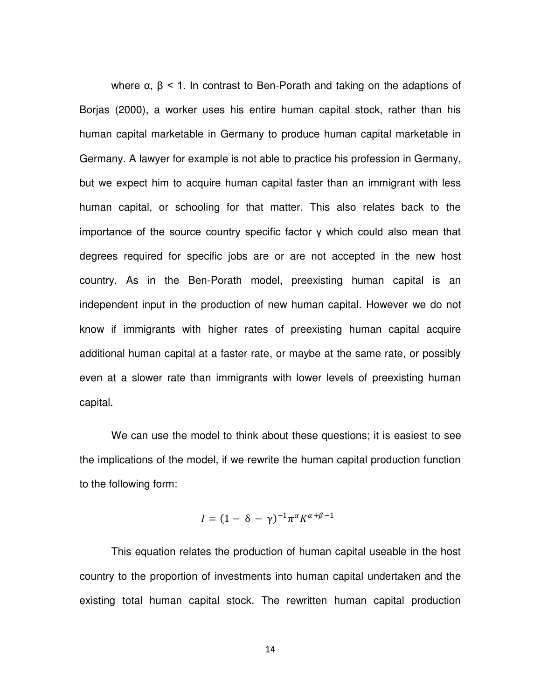where  $\alpha$ ,  $\beta$  < 1. In contrast to Ben-Porath and taking on the adaptions of Borjas (2000), a worker uses his entire human capital stock, rather than his human capital marketable in Germany to produce human capital marketable in Germany. A lawyer for example is not able to practice his profession in Germany, but we expect him to acquire human capital faster than an immigrant with less human capital, or schooling for that matter. This also relates back to the importance of the source country specific factor  $\gamma$  which could also mean that degrees required for specific jobs are or are not accepted in the new host country. As in the Ben-Porath model, preexisting human capital is an independent input in the production of new human capital. However we do not know if immigrants with higher rates of preexisting human capital acquire additional human capital at a faster rate, or maybe at the same rate, or possibly even at a slower rate than immigrants with lower levels of preexisting human capital.

We can use the model to think about these questions; it is easiest to see the implications of the model, if we rewrite the human capital production function to the following form:

$$
I = (1 - \delta - \gamma)^{-1} \pi^{\alpha} K^{\alpha + \beta - 1}
$$

This equation relates the production of human capital useable in the host country to the proportion of investments into human capital undertaken and the existing total human capital stock. The rewritten human capital production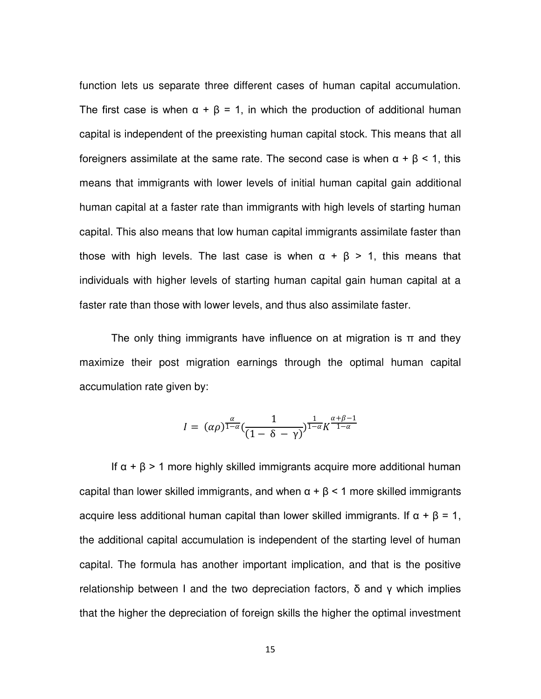function lets us separate three different cases of human capital accumulation. The first case is when  $\alpha + \beta = 1$ , in which the production of additional human capital is independent of the preexisting human capital stock. This means that all foreigners assimilate at the same rate. The second case is when α + β < 1, this means that immigrants with lower levels of initial human capital gain additional human capital at a faster rate than immigrants with high levels of starting human capital. This also means that low human capital immigrants assimilate faster than those with high levels. The last case is when  $\alpha + \beta > 1$ , this means that individuals with higher levels of starting human capital gain human capital at a faster rate than those with lower levels, and thus also assimilate faster.

The only thing immigrants have influence on at migration is  $\pi$  and they maximize their post migration earnings through the optimal human capital accumulation rate given by:

$$
I = (\alpha \rho)^{\frac{\alpha}{1-\alpha}} \left(\frac{1}{(1-\delta-\gamma)}\right)^{\frac{1}{1-\alpha}} K^{\frac{\alpha+\beta-1}{1-\alpha}}
$$

If  $\alpha + \beta$  > 1 more highly skilled immigrants acquire more additional human capital than lower skilled immigrants, and when  $\alpha + \beta < 1$  more skilled immigrants acquire less additional human capital than lower skilled immigrants. If  $\alpha + \beta = 1$ , the additional capital accumulation is independent of the starting level of human capital. The formula has another important implication, and that is the positive relationship between I and the two depreciation factors,  $\delta$  and  $\gamma$  which implies that the higher the depreciation of foreign skills the higher the optimal investment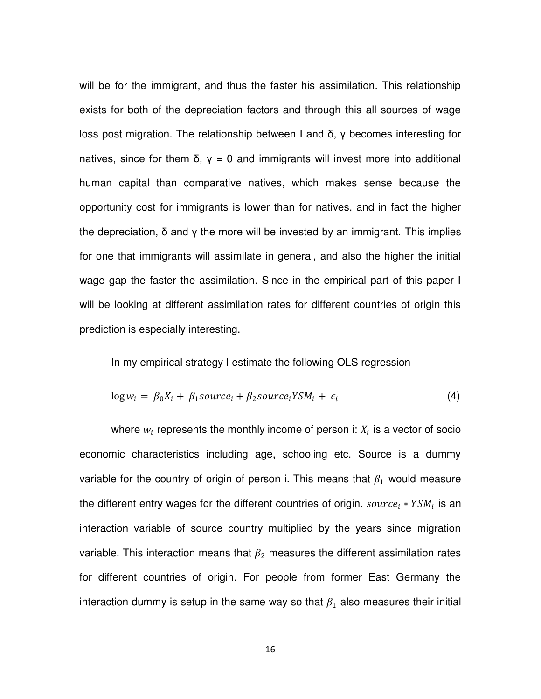will be for the immigrant, and thus the faster his assimilation. This relationship exists for both of the depreciation factors and through this all sources of wage loss post migration. The relationship between I and δ,  $γ$  becomes interesting for natives, since for them  $\delta$ ,  $\gamma = 0$  and immigrants will invest more into additional human capital than comparative natives, which makes sense because the opportunity cost for immigrants is lower than for natives, and in fact the higher the depreciation,  $\delta$  and  $\gamma$  the more will be invested by an immigrant. This implies for one that immigrants will assimilate in general, and also the higher the initial wage gap the faster the assimilation. Since in the empirical part of this paper I will be looking at different assimilation rates for different countries of origin this prediction is especially interesting.

In my empirical strategy I estimate the following OLS regression

$$
\log w_i = \beta_0 X_i + \beta_1 source_i + \beta_2 source_i Y S M_i + \epsilon_i \tag{4}
$$

where  $w_i$  represents the monthly income of person i:  $X_i$  is a vector of socio economic characteristics including age, schooling etc. Source is a dummy variable for the country of origin of person i. This means that  $\beta_1$  would measure the different entry wages for the different countries of origin.  ${source}_i * YSM_i$  is an interaction variable of source country multiplied by the years since migration variable. This interaction means that  $\beta_2$  measures the different assimilation rates for different countries of origin. For people from former East Germany the interaction dummy is setup in the same way so that  $\beta_1$  also measures their initial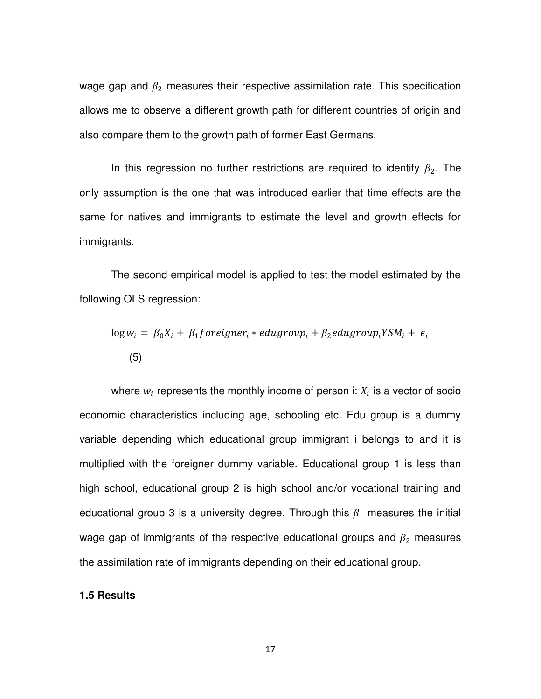wage gap and  $\beta_2$  measures their respective assimilation rate. This specification allows me to observe a different growth path for different countries of origin and also compare them to the growth path of former East Germans.

In this regression no further restrictions are required to identify  $\beta_2$ . The only assumption is the one that was introduced earlier that time effects are the same for natives and immigrants to estimate the level and growth effects for immigrants.

The second empirical model is applied to test the model estimated by the following OLS regression:

$$
\log w_i = \beta_0 X_i + \beta_1 \text{foreigner}_i * \text{edugroup}_i + \beta_2 \text{edugroup}_i \text{YSM}_i + \epsilon_i
$$
\n
$$
(5)
$$

where  $w_i$  represents the monthly income of person i:  $X_i$  is a vector of socio economic characteristics including age, schooling etc. Edu group is a dummy variable depending which educational group immigrant i belongs to and it is multiplied with the foreigner dummy variable. Educational group 1 is less than high school, educational group 2 is high school and/or vocational training and educational group 3 is a university degree. Through this  $\beta_1$  measures the initial wage gap of immigrants of the respective educational groups and  $\beta_2$  measures the assimilation rate of immigrants depending on their educational group.

#### **1.5 Results**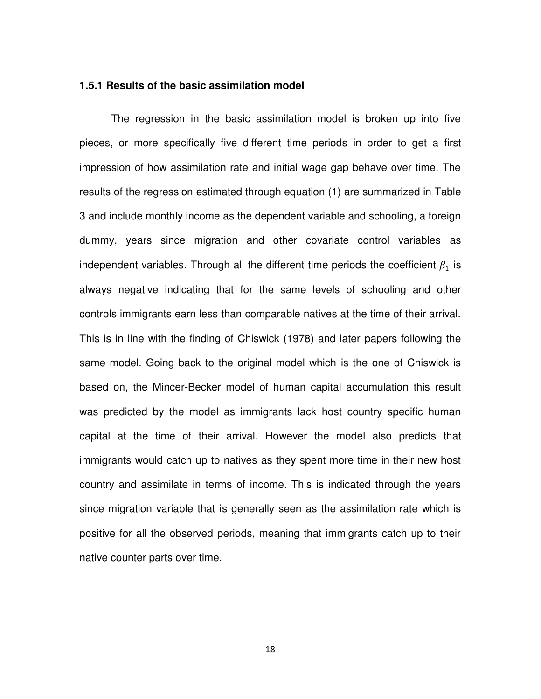#### **1.5.1 Results of the basic assimilation model**

The regression in the basic assimilation model is broken up into five pieces, or more specifically five different time periods in order to get a first impression of how assimilation rate and initial wage gap behave over time. The results of the regression estimated through equation (1) are summarized in Table 3 and include monthly income as the dependent variable and schooling, a foreign dummy, years since migration and other covariate control variables as independent variables. Through all the different time periods the coefficient  $\beta_1$  is always negative indicating that for the same levels of schooling and other controls immigrants earn less than comparable natives at the time of their arrival. This is in line with the finding of Chiswick (1978) and later papers following the same model. Going back to the original model which is the one of Chiswick is based on, the Mincer-Becker model of human capital accumulation this result was predicted by the model as immigrants lack host country specific human capital at the time of their arrival. However the model also predicts that immigrants would catch up to natives as they spent more time in their new host country and assimilate in terms of income. This is indicated through the years since migration variable that is generally seen as the assimilation rate which is positive for all the observed periods, meaning that immigrants catch up to their native counter parts over time.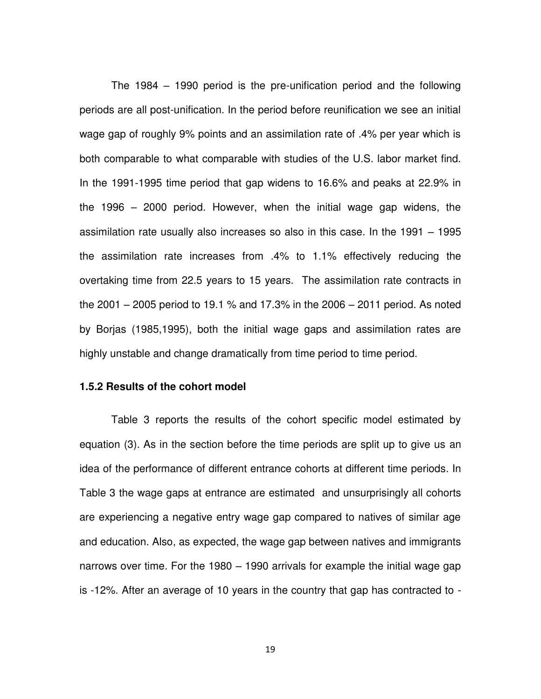The 1984 – 1990 period is the pre-unification period and the following periods are all post-unification. In the period before reunification we see an initial wage gap of roughly 9% points and an assimilation rate of .4% per year which is both comparable to what comparable with studies of the U.S. labor market find. In the 1991-1995 time period that gap widens to 16.6% and peaks at 22.9% in the 1996 – 2000 period. However, when the initial wage gap widens, the assimilation rate usually also increases so also in this case. In the 1991 – 1995 the assimilation rate increases from .4% to 1.1% effectively reducing the overtaking time from 22.5 years to 15 years. The assimilation rate contracts in the 2001 – 2005 period to 19.1 % and 17.3% in the 2006 – 2011 period. As noted by Borjas (1985,1995), both the initial wage gaps and assimilation rates are highly unstable and change dramatically from time period to time period.

#### **1.5.2 Results of the cohort model**

Table 3 reports the results of the cohort specific model estimated by equation (3). As in the section before the time periods are split up to give us an idea of the performance of different entrance cohorts at different time periods. In Table 3 the wage gaps at entrance are estimated and unsurprisingly all cohorts are experiencing a negative entry wage gap compared to natives of similar age and education. Also, as expected, the wage gap between natives and immigrants narrows over time. For the 1980 – 1990 arrivals for example the initial wage gap is -12%. After an average of 10 years in the country that gap has contracted to -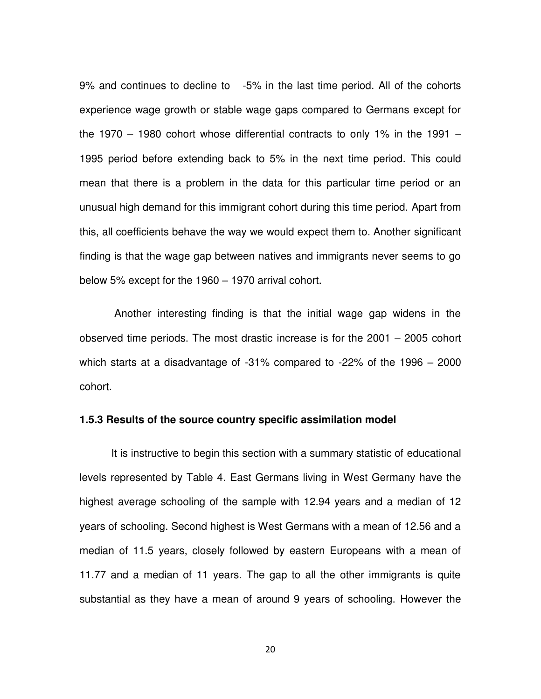9% and continues to decline to -5% in the last time period. All of the cohorts experience wage growth or stable wage gaps compared to Germans except for the 1970 – 1980 cohort whose differential contracts to only 1% in the 1991 – 1995 period before extending back to 5% in the next time period. This could mean that there is a problem in the data for this particular time period or an unusual high demand for this immigrant cohort during this time period. Apart from this, all coefficients behave the way we would expect them to. Another significant finding is that the wage gap between natives and immigrants never seems to go below 5% except for the 1960 – 1970 arrival cohort.

Another interesting finding is that the initial wage gap widens in the observed time periods. The most drastic increase is for the 2001 – 2005 cohort which starts at a disadvantage of -31% compared to -22% of the 1996 – 2000 cohort.

#### **1.5.3 Results of the source country specific assimilation model**

It is instructive to begin this section with a summary statistic of educational levels represented by Table 4. East Germans living in West Germany have the highest average schooling of the sample with 12.94 years and a median of 12 years of schooling. Second highest is West Germans with a mean of 12.56 and a median of 11.5 years, closely followed by eastern Europeans with a mean of 11.77 and a median of 11 years. The gap to all the other immigrants is quite substantial as they have a mean of around 9 years of schooling. However the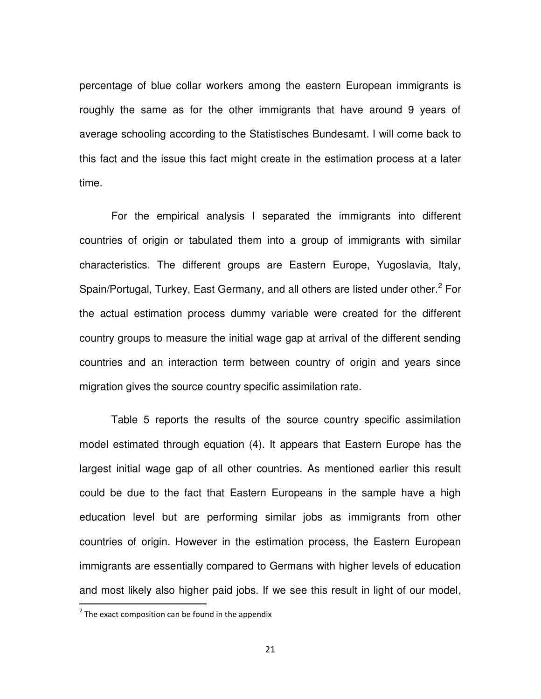percentage of blue collar workers among the eastern European immigrants is roughly the same as for the other immigrants that have around 9 years of average schooling according to the Statistisches Bundesamt. I will come back to this fact and the issue this fact might create in the estimation process at a later time.

For the empirical analysis I separated the immigrants into different countries of origin or tabulated them into a group of immigrants with similar characteristics. The different groups are Eastern Europe, Yugoslavia, Italy, Spain/Portugal, Turkey, East Germany, and all others are listed under other.<sup>2</sup> For the actual estimation process dummy variable were created for the different country groups to measure the initial wage gap at arrival of the different sending countries and an interaction term between country of origin and years since migration gives the source country specific assimilation rate.

Table 5 reports the results of the source country specific assimilation model estimated through equation (4). It appears that Eastern Europe has the largest initial wage gap of all other countries. As mentioned earlier this result could be due to the fact that Eastern Europeans in the sample have a high education level but are performing similar jobs as immigrants from other countries of origin. However in the estimation process, the Eastern European immigrants are essentially compared to Germans with higher levels of education and most likely also higher paid jobs. If we see this result in light of our model,

**EXECUTE:**<br>The exact composition can be found in the appendix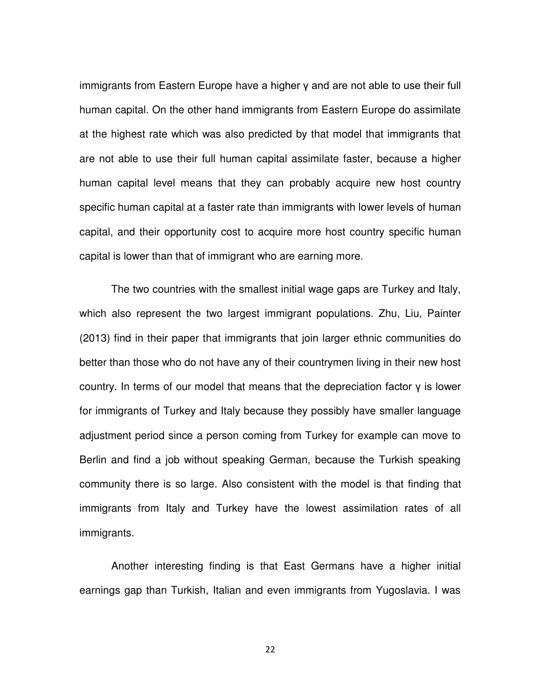immigrants from Eastern Europe have a higher  $\gamma$  and are not able to use their full human capital. On the other hand immigrants from Eastern Europe do assimilate at the highest rate which was also predicted by that model that immigrants that are not able to use their full human capital assimilate faster, because a higher human capital level means that they can probably acquire new host country specific human capital at a faster rate than immigrants with lower levels of human capital, and their opportunity cost to acquire more host country specific human capital is lower than that of immigrant who are earning more.

The two countries with the smallest initial wage gaps are Turkey and Italy, which also represent the two largest immigrant populations. Zhu, Liu, Painter (2013) find in their paper that immigrants that join larger ethnic communities do better than those who do not have any of their countrymen living in their new host country. In terms of our model that means that the depreciation factor  $y$  is lower for immigrants of Turkey and Italy because they possibly have smaller language adjustment period since a person coming from Turkey for example can move to Berlin and find a job without speaking German, because the Turkish speaking community there is so large. Also consistent with the model is that finding that immigrants from Italy and Turkey have the lowest assimilation rates of all immigrants.

Another interesting finding is that East Germans have a higher initial earnings gap than Turkish, Italian and even immigrants from Yugoslavia. I was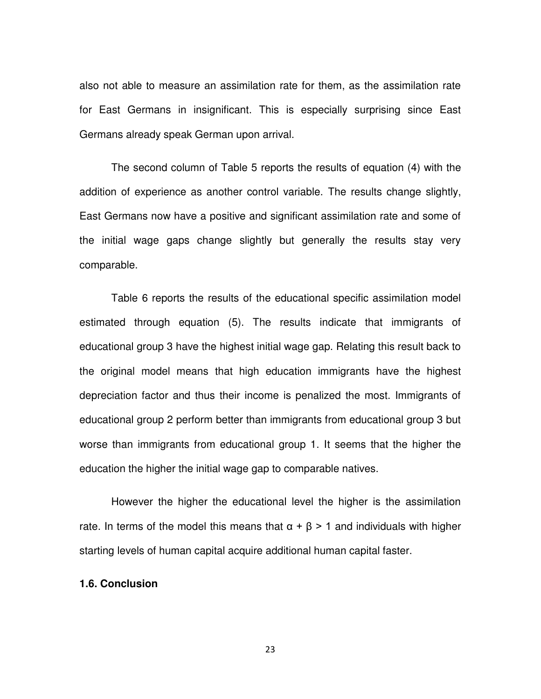also not able to measure an assimilation rate for them, as the assimilation rate for East Germans in insignificant. This is especially surprising since East Germans already speak German upon arrival.

The second column of Table 5 reports the results of equation (4) with the addition of experience as another control variable. The results change slightly, East Germans now have a positive and significant assimilation rate and some of the initial wage gaps change slightly but generally the results stay very comparable.

Table 6 reports the results of the educational specific assimilation model estimated through equation (5). The results indicate that immigrants of educational group 3 have the highest initial wage gap. Relating this result back to the original model means that high education immigrants have the highest depreciation factor and thus their income is penalized the most. Immigrants of educational group 2 perform better than immigrants from educational group 3 but worse than immigrants from educational group 1. It seems that the higher the education the higher the initial wage gap to comparable natives.

However the higher the educational level the higher is the assimilation rate. In terms of the model this means that  $\alpha + \beta > 1$  and individuals with higher starting levels of human capital acquire additional human capital faster.

#### **1.6. Conclusion**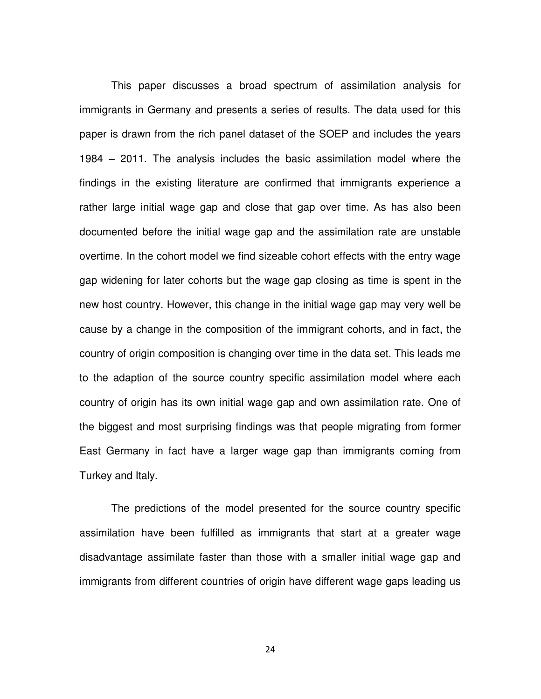This paper discusses a broad spectrum of assimilation analysis for immigrants in Germany and presents a series of results. The data used for this paper is drawn from the rich panel dataset of the SOEP and includes the years 1984 – 2011. The analysis includes the basic assimilation model where the findings in the existing literature are confirmed that immigrants experience a rather large initial wage gap and close that gap over time. As has also been documented before the initial wage gap and the assimilation rate are unstable overtime. In the cohort model we find sizeable cohort effects with the entry wage gap widening for later cohorts but the wage gap closing as time is spent in the new host country. However, this change in the initial wage gap may very well be cause by a change in the composition of the immigrant cohorts, and in fact, the country of origin composition is changing over time in the data set. This leads me to the adaption of the source country specific assimilation model where each country of origin has its own initial wage gap and own assimilation rate. One of the biggest and most surprising findings was that people migrating from former East Germany in fact have a larger wage gap than immigrants coming from Turkey and Italy.

The predictions of the model presented for the source country specific assimilation have been fulfilled as immigrants that start at a greater wage disadvantage assimilate faster than those with a smaller initial wage gap and immigrants from different countries of origin have different wage gaps leading us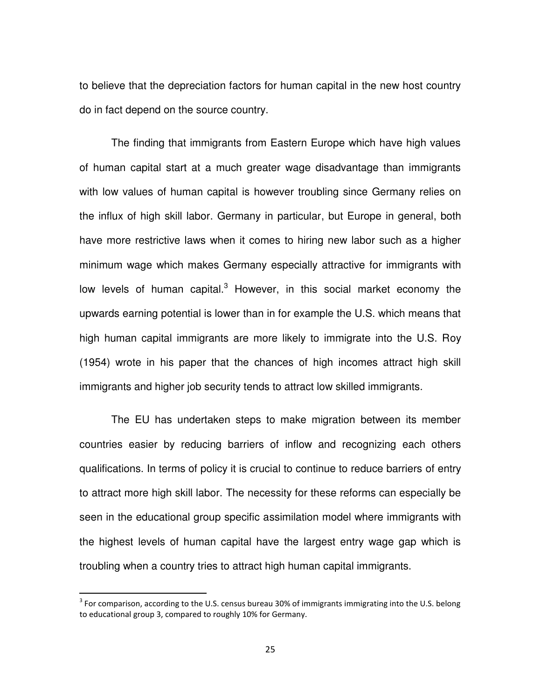to believe that the depreciation factors for human capital in the new host country do in fact depend on the source country.

The finding that immigrants from Eastern Europe which have high values of human capital start at a much greater wage disadvantage than immigrants with low values of human capital is however troubling since Germany relies on the influx of high skill labor. Germany in particular, but Europe in general, both have more restrictive laws when it comes to hiring new labor such as a higher minimum wage which makes Germany especially attractive for immigrants with low levels of human capital.<sup>3</sup> However, in this social market economy the upwards earning potential is lower than in for example the U.S. which means that high human capital immigrants are more likely to immigrate into the U.S. Roy (1954) wrote in his paper that the chances of high incomes attract high skill immigrants and higher job security tends to attract low skilled immigrants.

The EU has undertaken steps to make migration between its member countries easier by reducing barriers of inflow and recognizing each others qualifications. In terms of policy it is crucial to continue to reduce barriers of entry to attract more high skill labor. The necessity for these reforms can especially be seen in the educational group specific assimilation model where immigrants with the highest levels of human capital have the largest entry wage gap which is troubling when a country tries to attract high human capital immigrants.

 $\overline{\phantom{0}}$ 

<sup>&</sup>lt;sup>3</sup> For comparison, according to the U.S. census bureau 30% of immigrants immigrating into the U.S. belong to educational group 3, compared to roughly 10% for Germany.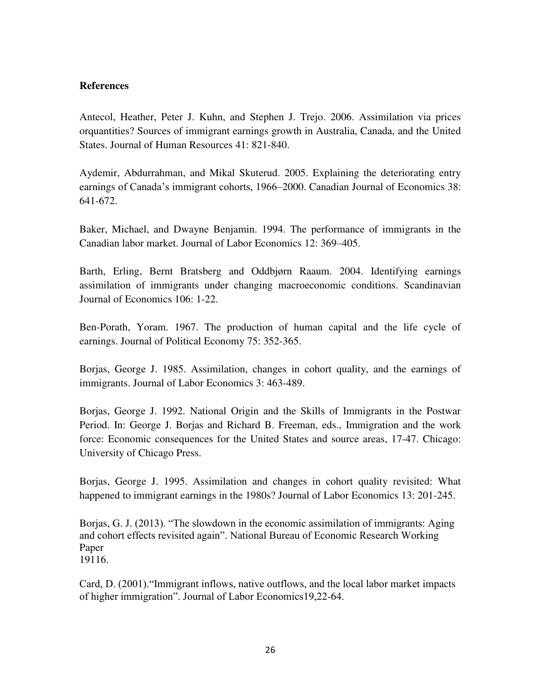#### **References**

Antecol, Heather, Peter J. Kuhn, and Stephen J. Trejo. 2006. Assimilation via prices orquantities? Sources of immigrant earnings growth in Australia, Canada, and the United States. Journal of Human Resources 41: 821-840.

Aydemir, Abdurrahman, and Mikal Skuterud. 2005. Explaining the deteriorating entry earnings of Canada's immigrant cohorts, 1966–2000. Canadian Journal of Economics 38: 641-672.

Baker, Michael, and Dwayne Benjamin. 1994. The performance of immigrants in the Canadian labor market. Journal of Labor Economics 12: 369–405.

Barth, Erling, Bernt Bratsberg and Oddbjørn Raaum. 2004. Identifying earnings assimilation of immigrants under changing macroeconomic conditions. Scandinavian Journal of Economics 106: 1-22.

Ben-Porath, Yoram. 1967. The production of human capital and the life cycle of earnings. Journal of Political Economy 75: 352-365.

Borjas, George J. 1985. Assimilation, changes in cohort quality, and the earnings of immigrants. Journal of Labor Economics 3: 463-489.

Borjas, George J. 1992. National Origin and the Skills of Immigrants in the Postwar Period. In: George J. Borjas and Richard B. Freeman, eds., Immigration and the work force: Economic consequences for the United States and source areas, 17-47. Chicago: University of Chicago Press.

Borjas, George J. 1995. Assimilation and changes in cohort quality revisited: What happened to immigrant earnings in the 1980s? Journal of Labor Economics 13: 201-245.

Borjas, G. J. (2013). "The slowdown in the economic assimilation of immigrants: Aging and cohort effects revisited again". National Bureau of Economic Research Working Paper 19116.

Card, D. (2001)."Immigrant inflows, native outflows, and the local labor market impacts of higher immigration". Journal of Labor Economics19,22-64.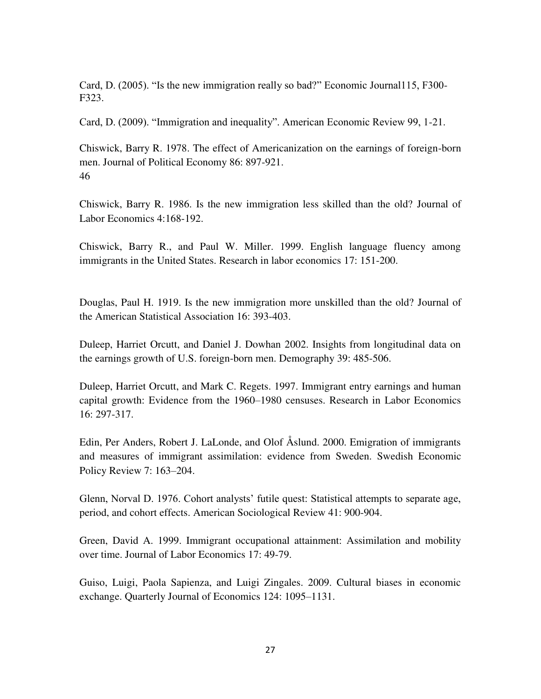Card, D. (2005). "Is the new immigration really so bad?" Economic Journal115, F300- F323.

Card, D. (2009). "Immigration and inequality". American Economic Review 99, 1-21.

Chiswick, Barry R. 1978. The effect of Americanization on the earnings of foreign-born men. Journal of Political Economy 86: 897-921. 46

Chiswick, Barry R. 1986. Is the new immigration less skilled than the old? Journal of Labor Economics 4:168-192.

Chiswick, Barry R., and Paul W. Miller. 1999. English language fluency among immigrants in the United States. Research in labor economics 17: 151-200.

Douglas, Paul H. 1919. Is the new immigration more unskilled than the old? Journal of the American Statistical Association 16: 393-403.

Duleep, Harriet Orcutt, and Daniel J. Dowhan 2002. Insights from longitudinal data on the earnings growth of U.S. foreign-born men. Demography 39: 485-506.

Duleep, Harriet Orcutt, and Mark C. Regets. 1997. Immigrant entry earnings and human capital growth: Evidence from the 1960–1980 censuses. Research in Labor Economics 16: 297-317.

Edin, Per Anders, Robert J. LaLonde, and Olof Åslund. 2000. Emigration of immigrants and measures of immigrant assimilation: evidence from Sweden. Swedish Economic Policy Review 7: 163–204.

Glenn, Norval D. 1976. Cohort analysts' futile quest: Statistical attempts to separate age, period, and cohort effects. American Sociological Review 41: 900-904.

Green, David A. 1999. Immigrant occupational attainment: Assimilation and mobility over time. Journal of Labor Economics 17: 49-79.

Guiso, Luigi, Paola Sapienza, and Luigi Zingales. 2009. Cultural biases in economic exchange. Quarterly Journal of Economics 124: 1095–1131.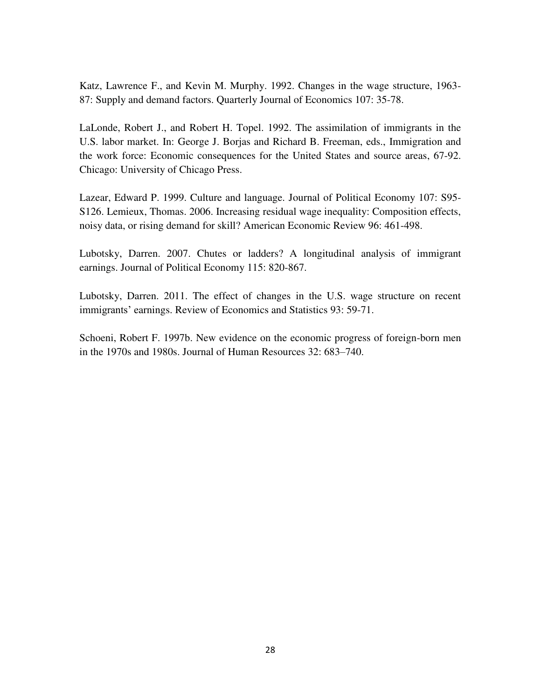Katz, Lawrence F., and Kevin M. Murphy. 1992. Changes in the wage structure, 1963- 87: Supply and demand factors. Quarterly Journal of Economics 107: 35-78.

LaLonde, Robert J., and Robert H. Topel. 1992. The assimilation of immigrants in the U.S. labor market. In: George J. Borjas and Richard B. Freeman, eds., Immigration and the work force: Economic consequences for the United States and source areas, 67-92. Chicago: University of Chicago Press.

Lazear, Edward P. 1999. Culture and language. Journal of Political Economy 107: S95- S126. Lemieux, Thomas. 2006. Increasing residual wage inequality: Composition effects, noisy data, or rising demand for skill? American Economic Review 96: 461-498.

Lubotsky, Darren. 2007. Chutes or ladders? A longitudinal analysis of immigrant earnings. Journal of Political Economy 115: 820-867.

Lubotsky, Darren. 2011. The effect of changes in the U.S. wage structure on recent immigrants' earnings. Review of Economics and Statistics 93: 59-71.

Schoeni, Robert F. 1997b. New evidence on the economic progress of foreign-born men in the 1970s and 1980s. Journal of Human Resources 32: 683–740.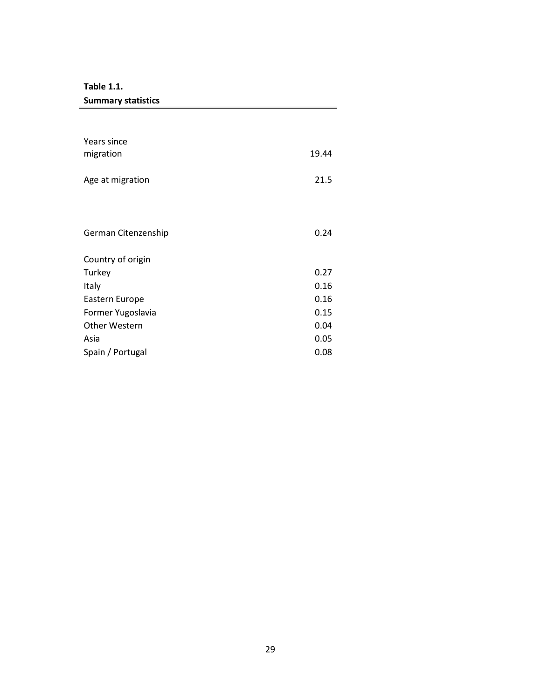**Table 1.1.** 

**Summary statistics** 

| Years since<br>migration | 19.44 |
|--------------------------|-------|
| Age at migration         | 21.5  |
|                          |       |
| German Citenzenship      | 0.24  |
| Country of origin        |       |
| Turkey                   | 0.27  |
| Italy                    | 0.16  |
| Eastern Europe           | 0.16  |
| Former Yugoslavia        | 0.15  |
| <b>Other Western</b>     | 0.04  |
| Asia                     | 0.05  |
| Spain / Portugal         | 0.08  |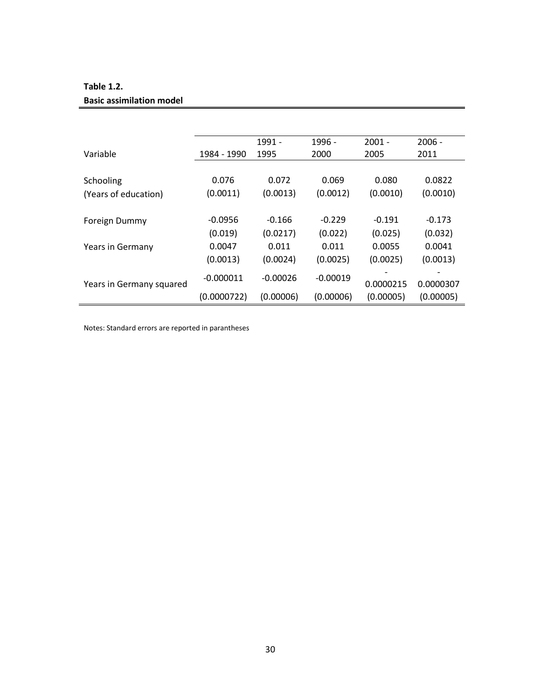#### **Table 1.2.**

#### **Basic assimilation model**

|                          |             | 1991 -     | 1996 -     | $2001 -$  | $2006 -$  |
|--------------------------|-------------|------------|------------|-----------|-----------|
| Variable                 | 1984 - 1990 | 1995       | 2000       | 2005      | 2011      |
|                          |             |            |            |           |           |
| Schooling                | 0.076       | 0.072      | 0.069      | 0.080     | 0.0822    |
| (Years of education)     | (0.0011)    | (0.0013)   | (0.0012)   | (0.0010)  | (0.0010)  |
|                          |             |            |            |           |           |
| Foreign Dummy            | $-0.0956$   | $-0.166$   | $-0.229$   | $-0.191$  | $-0.173$  |
|                          | (0.019)     | (0.0217)   | (0.022)    | (0.025)   | (0.032)   |
| Years in Germany         | 0.0047      | 0.011      | 0.011      | 0.0055    | 0.0041    |
|                          | (0.0013)    | (0.0024)   | (0.0025)   | (0.0025)  | (0.0013)  |
|                          | $-0.000011$ | $-0.00026$ | $-0.00019$ |           |           |
| Years in Germany squared |             |            |            | 0.0000215 | 0.0000307 |
|                          | (0.0000722) | (0.00006)  | (0.00006)  | (0.00005) | (0.00005) |

Notes: Standard errors are reported in parantheses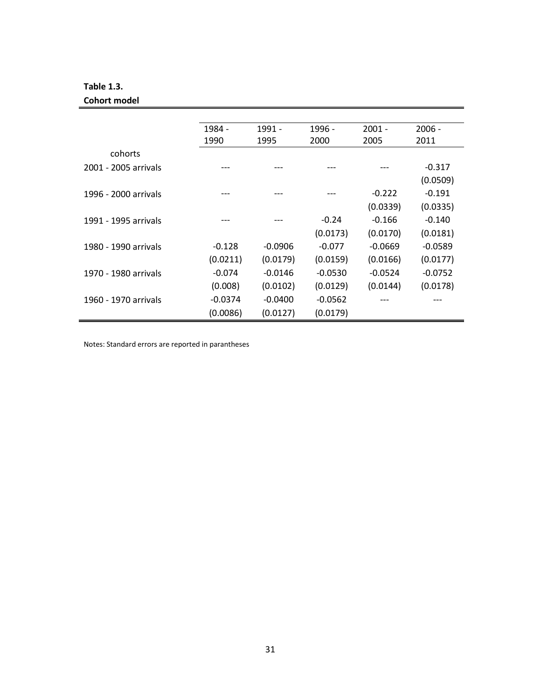#### **Table 1.3.**

÷

#### **Cohort model**

|                      | 1984 -    | 1991 -    | 1996 -    | $2001 -$  | $2006 -$  |
|----------------------|-----------|-----------|-----------|-----------|-----------|
|                      | 1990      | 1995      | 2000      | 2005      | 2011      |
| cohorts              |           |           |           |           |           |
| 2001 - 2005 arrivals |           |           |           |           | $-0.317$  |
|                      |           |           |           |           | (0.0509)  |
| 1996 - 2000 arrivals |           |           |           | $-0.222$  | $-0.191$  |
|                      |           |           |           | (0.0339)  | (0.0335)  |
| 1991 - 1995 arrivals |           |           | $-0.24$   | $-0.166$  | $-0.140$  |
|                      |           |           | (0.0173)  | (0.0170)  | (0.0181)  |
| 1980 - 1990 arrivals | $-0.128$  | $-0.0906$ | $-0.077$  | $-0.0669$ | $-0.0589$ |
|                      | (0.0211)  | (0.0179)  | (0.0159)  | (0.0166)  | (0.0177)  |
| 1970 - 1980 arrivals | $-0.074$  | $-0.0146$ | $-0.0530$ | $-0.0524$ | $-0.0752$ |
|                      | (0.008)   | (0.0102)  | (0.0129)  | (0.0144)  | (0.0178)  |
| 1960 - 1970 arrivals | $-0.0374$ | $-0.0400$ | $-0.0562$ |           |           |
|                      | (0.0086)  | (0.0127)  | (0.0179)  |           |           |

Notes: Standard errors are reported in parantheses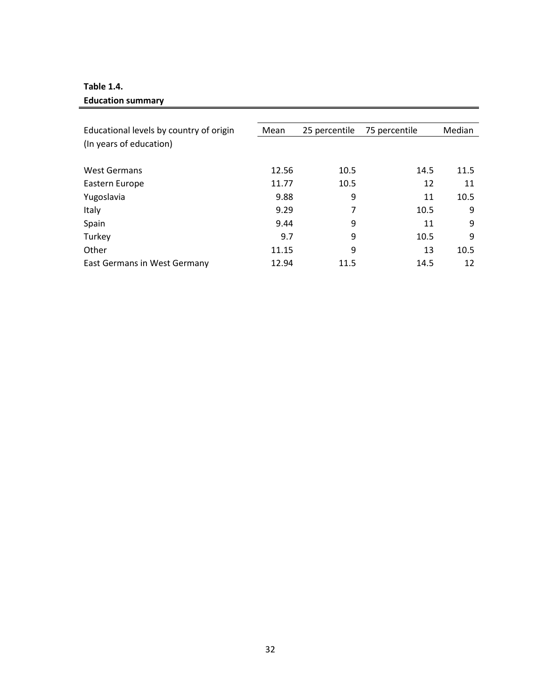#### **Table 1.4.**

#### **Education summary**

| Educational levels by country of origin | Mean  | 25 percentile | 75 percentile | <b>Median</b> |
|-----------------------------------------|-------|---------------|---------------|---------------|
| (In years of education)                 |       |               |               |               |
| <b>West Germans</b>                     | 12.56 | 10.5          | 14.5          | 11.5          |
| Eastern Europe                          | 11.77 | 10.5          | 12            | 11            |
| Yugoslavia                              | 9.88  | 9             | 11            | 10.5          |
| Italy                                   | 9.29  | 7             | 10.5          | 9             |
| Spain                                   | 9.44  | 9             | 11            | 9             |
| Turkey                                  | 9.7   | 9             | 10.5          | 9             |
| Other                                   | 11.15 | 9             | 13            | 10.5          |
| East Germans in West Germany            | 12.94 | 11.5          | 14.5          | 12            |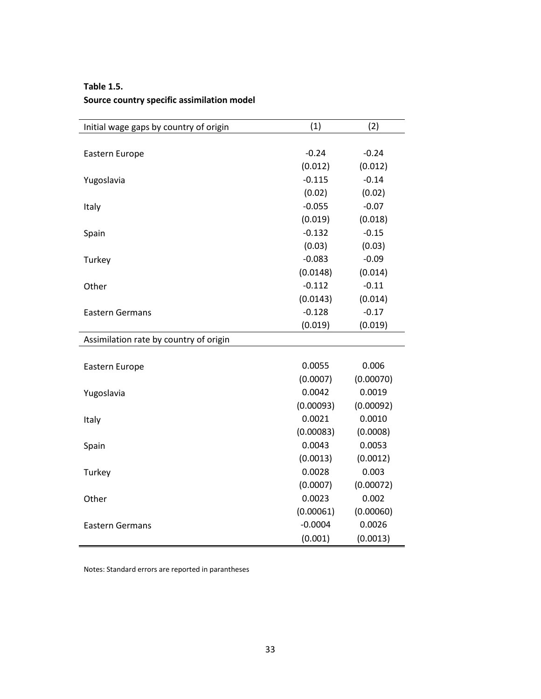| Initial wage gaps by country of origin | (1)       | (2)       |
|----------------------------------------|-----------|-----------|
|                                        |           |           |
| Eastern Europe                         | $-0.24$   | $-0.24$   |
|                                        | (0.012)   | (0.012)   |
| Yugoslavia                             | $-0.115$  | $-0.14$   |
|                                        | (0.02)    | (0.02)    |
| Italy                                  | $-0.055$  | $-0.07$   |
|                                        | (0.019)   | (0.018)   |
| Spain                                  | $-0.132$  | $-0.15$   |
|                                        | (0.03)    | (0.03)    |
| Turkey                                 | $-0.083$  | $-0.09$   |
|                                        | (0.0148)  | (0.014)   |
| Other                                  | $-0.112$  | $-0.11$   |
|                                        | (0.0143)  | (0.014)   |
| <b>Eastern Germans</b>                 | $-0.128$  | $-0.17$   |
|                                        | (0.019)   | (0.019)   |
| Assimilation rate by country of origin |           |           |
| Eastern Europe                         | 0.0055    | 0.006     |
|                                        | (0.0007)  | (0.00070) |
| Yugoslavia                             | 0.0042    | 0.0019    |
|                                        | (0.00093) | (0.00092) |
| Italy                                  | 0.0021    | 0.0010    |
|                                        | (0.00083) | (0.0008)  |
| Spain                                  | 0.0043    | 0.0053    |
|                                        | (0.0013)  | (0.0012)  |
| Turkey                                 | 0.0028    | 0.003     |
|                                        | (0.0007)  | (0.00072) |
| Other                                  | 0.0023    | 0.002     |
|                                        | (0.00061) | (0.00060) |
| <b>Eastern Germans</b>                 | $-0.0004$ | 0.0026    |
|                                        | (0.001)   | (0.0013)  |

#### **Table 1.5. Source country specific assimilation model**

Notes: Standard errors are reported in parantheses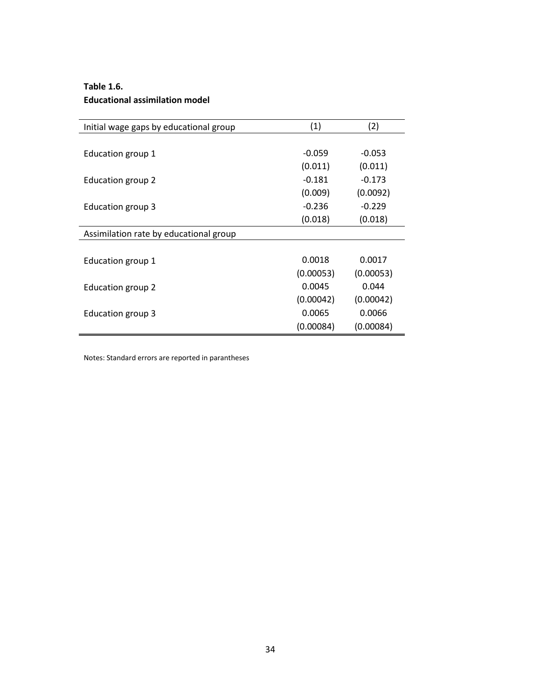#### **Table 1.6. Educational assimilation model**

| Initial wage gaps by educational group | (1)       | (2)       |
|----------------------------------------|-----------|-----------|
|                                        |           |           |
| Education group 1                      | $-0.059$  | $-0.053$  |
|                                        | (0.011)   | (0.011)   |
| Education group 2                      | $-0.181$  | $-0.173$  |
|                                        | (0.009)   | (0.0092)  |
| <b>Education group 3</b>               | $-0.236$  | $-0.229$  |
|                                        | (0.018)   | (0.018)   |
| Assimilation rate by educational group |           |           |
|                                        |           |           |
| Education group 1                      | 0.0018    | 0.0017    |
|                                        | (0.00053) | (0.00053) |
| Education group 2                      | 0.0045    | 0.044     |
|                                        | (0.00042) | (0.00042) |
| Education group 3                      | 0.0065    | 0.0066    |
|                                        | (0.00084) | (0.00084) |

Notes: Standard errors are reported in parantheses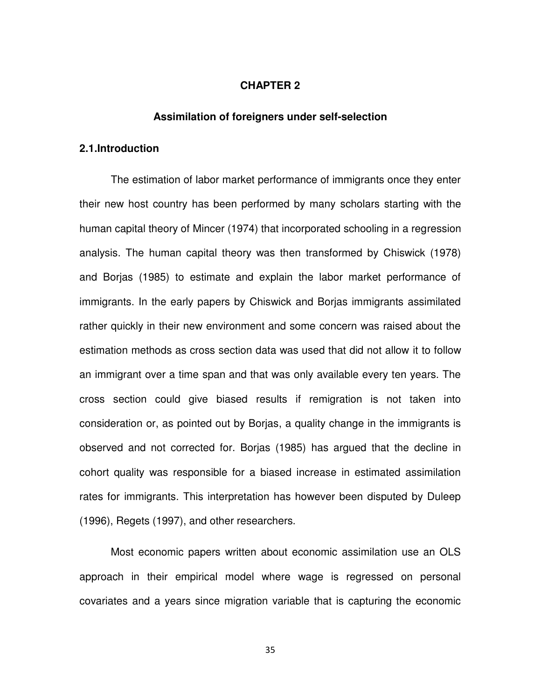#### **CHAPTER 2**

#### **Assimilation of foreigners under self-selection**

#### **2.1.Introduction**

The estimation of labor market performance of immigrants once they enter their new host country has been performed by many scholars starting with the human capital theory of Mincer (1974) that incorporated schooling in a regression analysis. The human capital theory was then transformed by Chiswick (1978) and Borjas (1985) to estimate and explain the labor market performance of immigrants. In the early papers by Chiswick and Borjas immigrants assimilated rather quickly in their new environment and some concern was raised about the estimation methods as cross section data was used that did not allow it to follow an immigrant over a time span and that was only available every ten years. The cross section could give biased results if remigration is not taken into consideration or, as pointed out by Borjas, a quality change in the immigrants is observed and not corrected for. Borjas (1985) has argued that the decline in cohort quality was responsible for a biased increase in estimated assimilation rates for immigrants. This interpretation has however been disputed by Duleep (1996), Regets (1997), and other researchers.

Most economic papers written about economic assimilation use an OLS approach in their empirical model where wage is regressed on personal covariates and a years since migration variable that is capturing the economic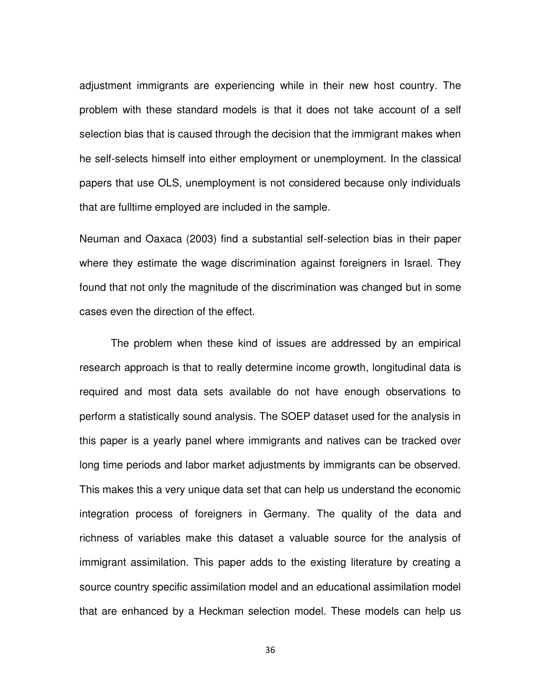adjustment immigrants are experiencing while in their new host country. The problem with these standard models is that it does not take account of a self selection bias that is caused through the decision that the immigrant makes when he self-selects himself into either employment or unemployment. In the classical papers that use OLS, unemployment is not considered because only individuals that are fulltime employed are included in the sample.

Neuman and Oaxaca (2003) find a substantial self-selection bias in their paper where they estimate the wage discrimination against foreigners in Israel. They found that not only the magnitude of the discrimination was changed but in some cases even the direction of the effect.

The problem when these kind of issues are addressed by an empirical research approach is that to really determine income growth, longitudinal data is required and most data sets available do not have enough observations to perform a statistically sound analysis. The SOEP dataset used for the analysis in this paper is a yearly panel where immigrants and natives can be tracked over long time periods and labor market adjustments by immigrants can be observed. This makes this a very unique data set that can help us understand the economic integration process of foreigners in Germany. The quality of the data and richness of variables make this dataset a valuable source for the analysis of immigrant assimilation. This paper adds to the existing literature by creating a source country specific assimilation model and an educational assimilation model that are enhanced by a Heckman selection model. These models can help us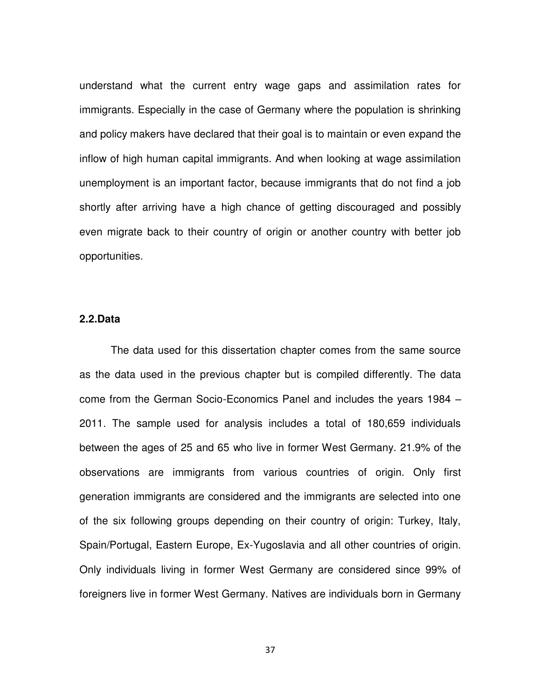understand what the current entry wage gaps and assimilation rates for immigrants. Especially in the case of Germany where the population is shrinking and policy makers have declared that their goal is to maintain or even expand the inflow of high human capital immigrants. And when looking at wage assimilation unemployment is an important factor, because immigrants that do not find a job shortly after arriving have a high chance of getting discouraged and possibly even migrate back to their country of origin or another country with better job opportunities.

#### **2.2.Data**

The data used for this dissertation chapter comes from the same source as the data used in the previous chapter but is compiled differently. The data come from the German Socio-Economics Panel and includes the years 1984 – 2011. The sample used for analysis includes a total of 180,659 individuals between the ages of 25 and 65 who live in former West Germany. 21.9% of the observations are immigrants from various countries of origin. Only first generation immigrants are considered and the immigrants are selected into one of the six following groups depending on their country of origin: Turkey, Italy, Spain/Portugal, Eastern Europe, Ex-Yugoslavia and all other countries of origin. Only individuals living in former West Germany are considered since 99% of foreigners live in former West Germany. Natives are individuals born in Germany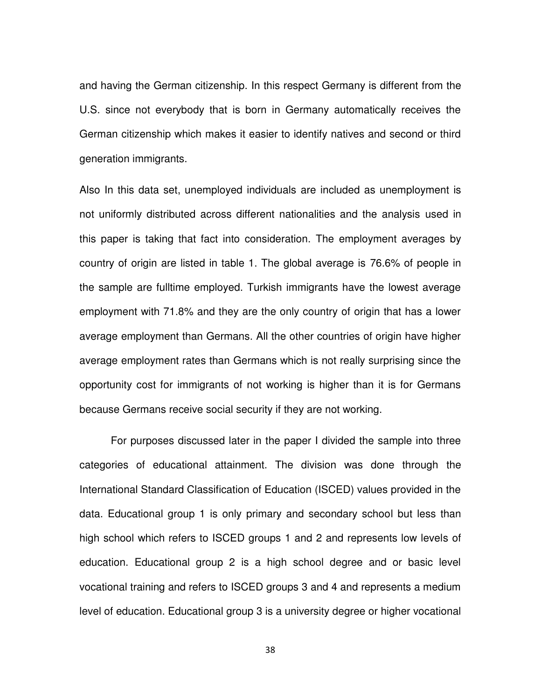and having the German citizenship. In this respect Germany is different from the U.S. since not everybody that is born in Germany automatically receives the German citizenship which makes it easier to identify natives and second or third generation immigrants.

Also In this data set, unemployed individuals are included as unemployment is not uniformly distributed across different nationalities and the analysis used in this paper is taking that fact into consideration. The employment averages by country of origin are listed in table 1. The global average is 76.6% of people in the sample are fulltime employed. Turkish immigrants have the lowest average employment with 71.8% and they are the only country of origin that has a lower average employment than Germans. All the other countries of origin have higher average employment rates than Germans which is not really surprising since the opportunity cost for immigrants of not working is higher than it is for Germans because Germans receive social security if they are not working.

For purposes discussed later in the paper I divided the sample into three categories of educational attainment. The division was done through the International Standard Classification of Education (ISCED) values provided in the data. Educational group 1 is only primary and secondary school but less than high school which refers to ISCED groups 1 and 2 and represents low levels of education. Educational group 2 is a high school degree and or basic level vocational training and refers to ISCED groups 3 and 4 and represents a medium level of education. Educational group 3 is a university degree or higher vocational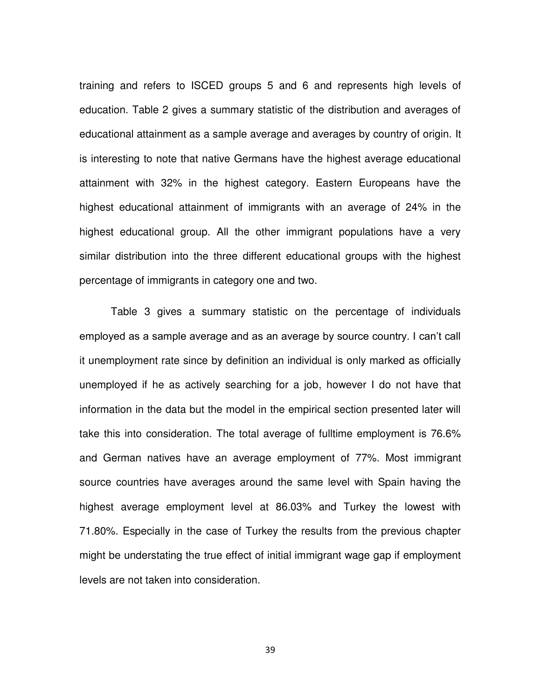training and refers to ISCED groups 5 and 6 and represents high levels of education. Table 2 gives a summary statistic of the distribution and averages of educational attainment as a sample average and averages by country of origin. It is interesting to note that native Germans have the highest average educational attainment with 32% in the highest category. Eastern Europeans have the highest educational attainment of immigrants with an average of 24% in the highest educational group. All the other immigrant populations have a very similar distribution into the three different educational groups with the highest percentage of immigrants in category one and two.

Table 3 gives a summary statistic on the percentage of individuals employed as a sample average and as an average by source country. I can't call it unemployment rate since by definition an individual is only marked as officially unemployed if he as actively searching for a job, however I do not have that information in the data but the model in the empirical section presented later will take this into consideration. The total average of fulltime employment is 76.6% and German natives have an average employment of 77%. Most immigrant source countries have averages around the same level with Spain having the highest average employment level at 86.03% and Turkey the lowest with 71.80%. Especially in the case of Turkey the results from the previous chapter might be understating the true effect of initial immigrant wage gap if employment levels are not taken into consideration.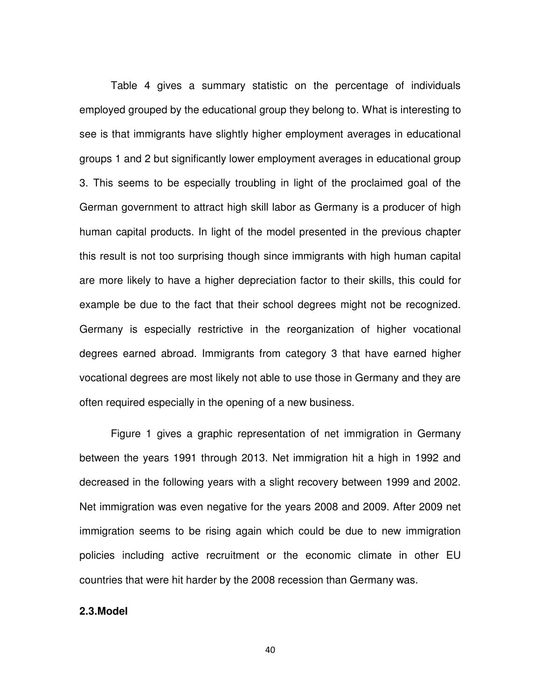Table 4 gives a summary statistic on the percentage of individuals employed grouped by the educational group they belong to. What is interesting to see is that immigrants have slightly higher employment averages in educational groups 1 and 2 but significantly lower employment averages in educational group 3. This seems to be especially troubling in light of the proclaimed goal of the German government to attract high skill labor as Germany is a producer of high human capital products. In light of the model presented in the previous chapter this result is not too surprising though since immigrants with high human capital are more likely to have a higher depreciation factor to their skills, this could for example be due to the fact that their school degrees might not be recognized. Germany is especially restrictive in the reorganization of higher vocational degrees earned abroad. Immigrants from category 3 that have earned higher vocational degrees are most likely not able to use those in Germany and they are often required especially in the opening of a new business.

Figure 1 gives a graphic representation of net immigration in Germany between the years 1991 through 2013. Net immigration hit a high in 1992 and decreased in the following years with a slight recovery between 1999 and 2002. Net immigration was even negative for the years 2008 and 2009. After 2009 net immigration seems to be rising again which could be due to new immigration policies including active recruitment or the economic climate in other EU countries that were hit harder by the 2008 recession than Germany was.

#### **2.3.Model**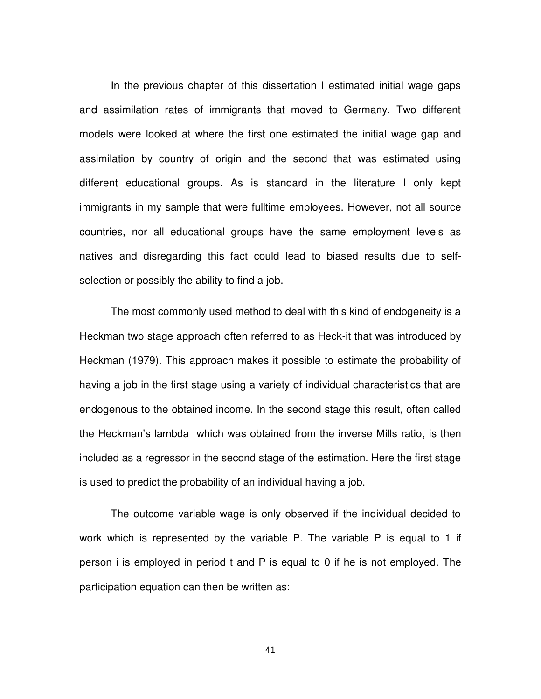In the previous chapter of this dissertation I estimated initial wage gaps and assimilation rates of immigrants that moved to Germany. Two different models were looked at where the first one estimated the initial wage gap and assimilation by country of origin and the second that was estimated using different educational groups. As is standard in the literature I only kept immigrants in my sample that were fulltime employees. However, not all source countries, nor all educational groups have the same employment levels as natives and disregarding this fact could lead to biased results due to selfselection or possibly the ability to find a job.

The most commonly used method to deal with this kind of endogeneity is a Heckman two stage approach often referred to as Heck-it that was introduced by Heckman (1979). This approach makes it possible to estimate the probability of having a job in the first stage using a variety of individual characteristics that are endogenous to the obtained income. In the second stage this result, often called the Heckman's lambda which was obtained from the inverse Mills ratio, is then included as a regressor in the second stage of the estimation. Here the first stage is used to predict the probability of an individual having a job.

The outcome variable wage is only observed if the individual decided to work which is represented by the variable P. The variable P is equal to 1 if person i is employed in period t and P is equal to 0 if he is not employed. The participation equation can then be written as: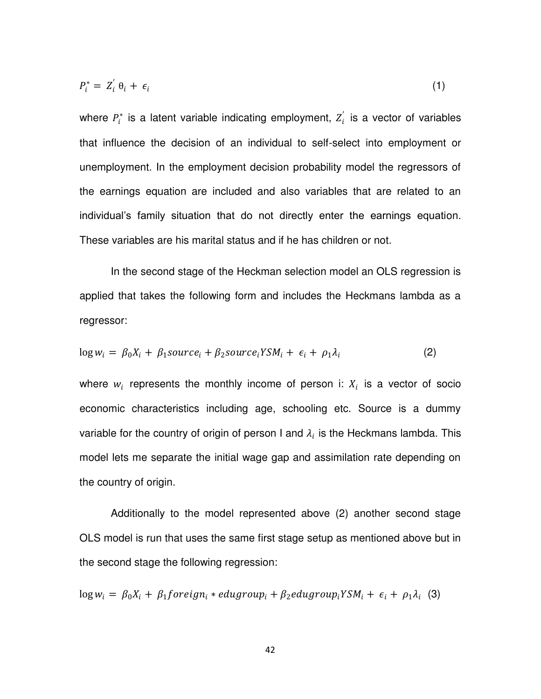$$
P_i^* = Z_i' \theta_i + \epsilon_i \tag{1}
$$

where  $P_i^*$  is a latent variable indicating employment,  $Z_i$  is a vector of variables that influence the decision of an individual to self-select into employment or unemployment. In the employment decision probability model the regressors of the earnings equation are included and also variables that are related to an individual's family situation that do not directly enter the earnings equation. These variables are his marital status and if he has children or not.

In the second stage of the Heckman selection model an OLS regression is applied that takes the following form and includes the Heckmans lambda as a regressor:

$$
\log w_i = \beta_0 X_i + \beta_1 source_i + \beta_2 source_i Y S M_i + \epsilon_i + \rho_1 \lambda_i \tag{2}
$$

where  $w_i$  represents the monthly income of person i:  $X_i$  is a vector of socio economic characteristics including age, schooling etc. Source is a dummy variable for the country of origin of person I and  $\lambda_i$  is the Heckmans lambda. This model lets me separate the initial wage gap and assimilation rate depending on the country of origin.

Additionally to the model represented above (2) another second stage OLS model is run that uses the same first stage setup as mentioned above but in the second stage the following regression:

 $\log w_i = \beta_0 X_i + \beta_1$ foreign<sub>i</sub> \* edugroup<sub>i</sub> +  $\beta_2$ edugroup<sub>i</sub>YSM<sub>i</sub> +  $\epsilon_i + \rho_1 \lambda_i$  (3)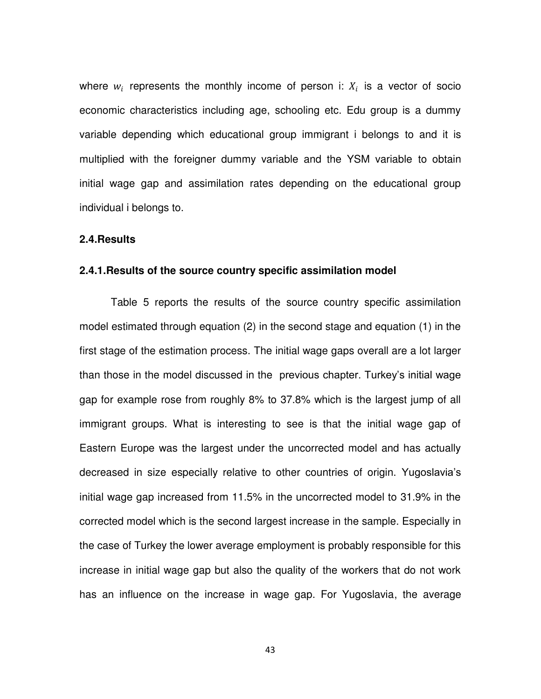where  $w_i$  represents the monthly income of person i:  $X_i$  is a vector of socio economic characteristics including age, schooling etc. Edu group is a dummy variable depending which educational group immigrant i belongs to and it is multiplied with the foreigner dummy variable and the YSM variable to obtain initial wage gap and assimilation rates depending on the educational group individual i belongs to.

#### **2.4.Results**

#### **2.4.1.Results of the source country specific assimilation model**

Table 5 reports the results of the source country specific assimilation model estimated through equation (2) in the second stage and equation (1) in the first stage of the estimation process. The initial wage gaps overall are a lot larger than those in the model discussed in the previous chapter. Turkey's initial wage gap for example rose from roughly 8% to 37.8% which is the largest jump of all immigrant groups. What is interesting to see is that the initial wage gap of Eastern Europe was the largest under the uncorrected model and has actually decreased in size especially relative to other countries of origin. Yugoslavia's initial wage gap increased from 11.5% in the uncorrected model to 31.9% in the corrected model which is the second largest increase in the sample. Especially in the case of Turkey the lower average employment is probably responsible for this increase in initial wage gap but also the quality of the workers that do not work has an influence on the increase in wage gap. For Yugoslavia, the average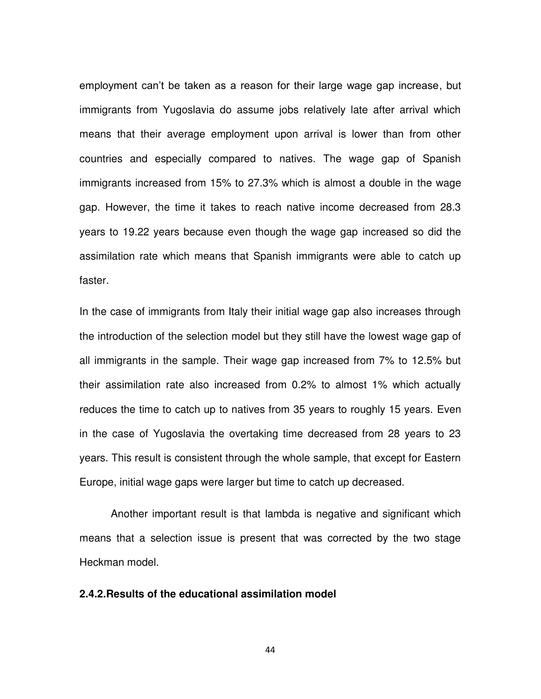employment can't be taken as a reason for their large wage gap increase, but immigrants from Yugoslavia do assume jobs relatively late after arrival which means that their average employment upon arrival is lower than from other countries and especially compared to natives. The wage gap of Spanish immigrants increased from 15% to 27.3% which is almost a double in the wage gap. However, the time it takes to reach native income decreased from 28.3 years to 19.22 years because even though the wage gap increased so did the assimilation rate which means that Spanish immigrants were able to catch up faster.

In the case of immigrants from Italy their initial wage gap also increases through the introduction of the selection model but they still have the lowest wage gap of all immigrants in the sample. Their wage gap increased from 7% to 12.5% but their assimilation rate also increased from 0.2% to almost 1% which actually reduces the time to catch up to natives from 35 years to roughly 15 years. Even in the case of Yugoslavia the overtaking time decreased from 28 years to 23 years. This result is consistent through the whole sample, that except for Eastern Europe, initial wage gaps were larger but time to catch up decreased.

Another important result is that lambda is negative and significant which means that a selection issue is present that was corrected by the two stage Heckman model.

#### **2.4.2.Results of the educational assimilation model**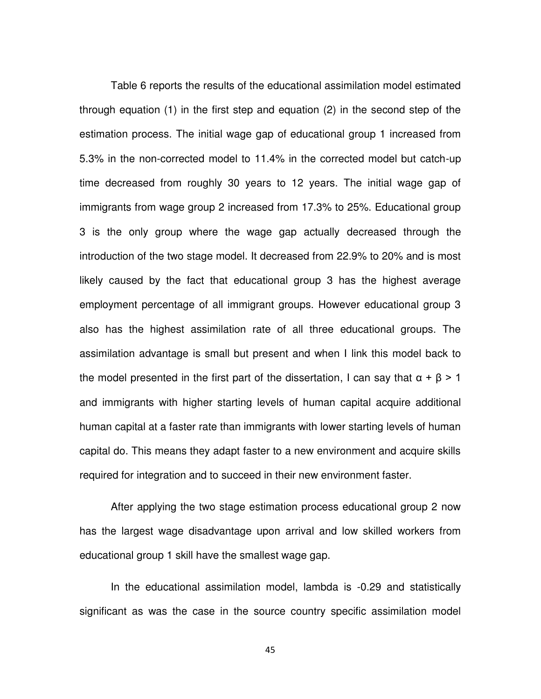Table 6 reports the results of the educational assimilation model estimated through equation (1) in the first step and equation (2) in the second step of the estimation process. The initial wage gap of educational group 1 increased from 5.3% in the non-corrected model to 11.4% in the corrected model but catch-up time decreased from roughly 30 years to 12 years. The initial wage gap of immigrants from wage group 2 increased from 17.3% to 25%. Educational group 3 is the only group where the wage gap actually decreased through the introduction of the two stage model. It decreased from 22.9% to 20% and is most likely caused by the fact that educational group 3 has the highest average employment percentage of all immigrant groups. However educational group 3 also has the highest assimilation rate of all three educational groups. The assimilation advantage is small but present and when I link this model back to the model presented in the first part of the dissertation, I can say that  $\alpha + \beta > 1$ and immigrants with higher starting levels of human capital acquire additional human capital at a faster rate than immigrants with lower starting levels of human capital do. This means they adapt faster to a new environment and acquire skills required for integration and to succeed in their new environment faster.

After applying the two stage estimation process educational group 2 now has the largest wage disadvantage upon arrival and low skilled workers from educational group 1 skill have the smallest wage gap.

In the educational assimilation model, lambda is -0.29 and statistically significant as was the case in the source country specific assimilation model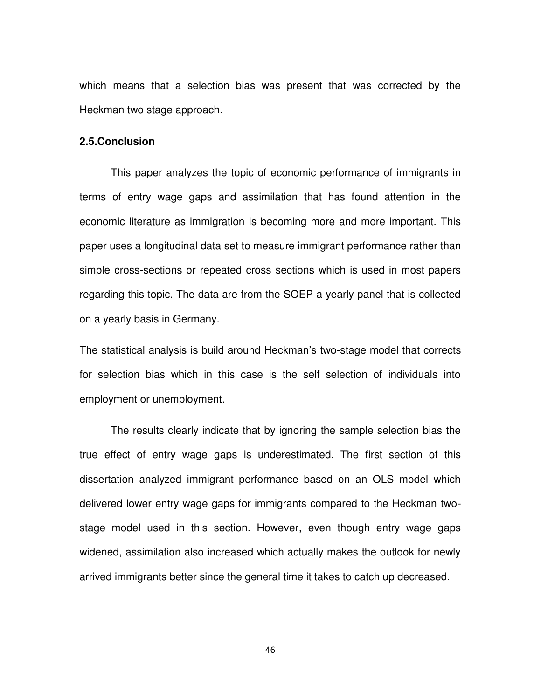which means that a selection bias was present that was corrected by the Heckman two stage approach.

#### **2.5.Conclusion**

This paper analyzes the topic of economic performance of immigrants in terms of entry wage gaps and assimilation that has found attention in the economic literature as immigration is becoming more and more important. This paper uses a longitudinal data set to measure immigrant performance rather than simple cross-sections or repeated cross sections which is used in most papers regarding this topic. The data are from the SOEP a yearly panel that is collected on a yearly basis in Germany.

The statistical analysis is build around Heckman's two-stage model that corrects for selection bias which in this case is the self selection of individuals into employment or unemployment.

The results clearly indicate that by ignoring the sample selection bias the true effect of entry wage gaps is underestimated. The first section of this dissertation analyzed immigrant performance based on an OLS model which delivered lower entry wage gaps for immigrants compared to the Heckman twostage model used in this section. However, even though entry wage gaps widened, assimilation also increased which actually makes the outlook for newly arrived immigrants better since the general time it takes to catch up decreased.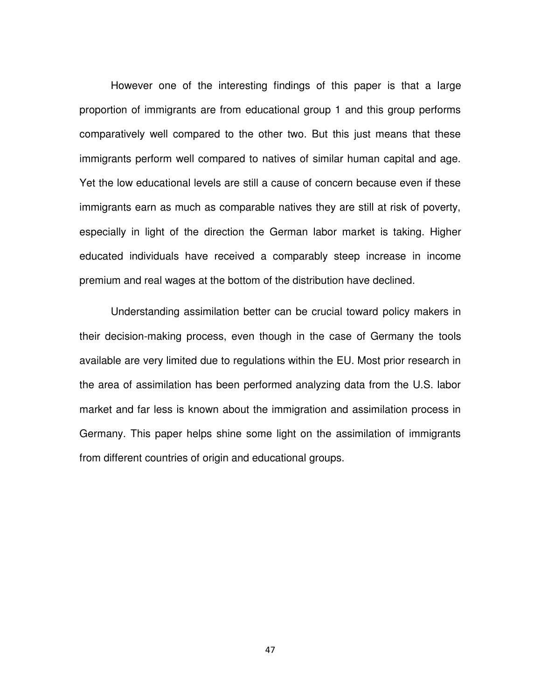However one of the interesting findings of this paper is that a large proportion of immigrants are from educational group 1 and this group performs comparatively well compared to the other two. But this just means that these immigrants perform well compared to natives of similar human capital and age. Yet the low educational levels are still a cause of concern because even if these immigrants earn as much as comparable natives they are still at risk of poverty, especially in light of the direction the German labor market is taking. Higher educated individuals have received a comparably steep increase in income premium and real wages at the bottom of the distribution have declined.

Understanding assimilation better can be crucial toward policy makers in their decision-making process, even though in the case of Germany the tools available are very limited due to regulations within the EU. Most prior research in the area of assimilation has been performed analyzing data from the U.S. labor market and far less is known about the immigration and assimilation process in Germany. This paper helps shine some light on the assimilation of immigrants from different countries of origin and educational groups.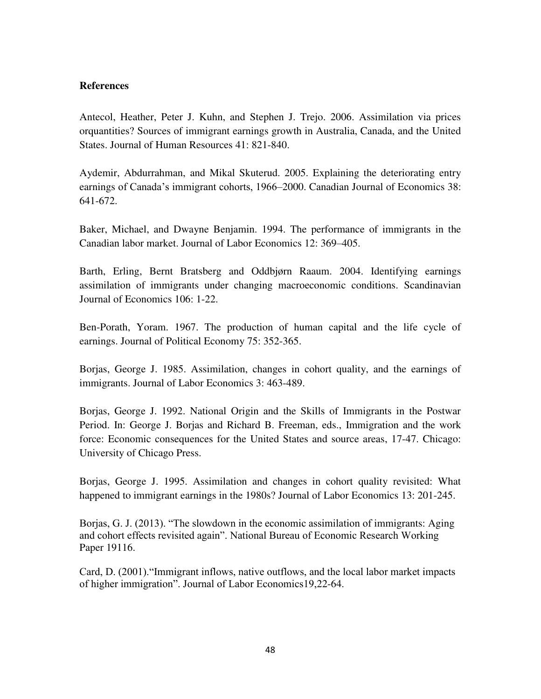#### **References**

Antecol, Heather, Peter J. Kuhn, and Stephen J. Trejo. 2006. Assimilation via prices orquantities? Sources of immigrant earnings growth in Australia, Canada, and the United States. Journal of Human Resources 41: 821-840.

Aydemir, Abdurrahman, and Mikal Skuterud. 2005. Explaining the deteriorating entry earnings of Canada's immigrant cohorts, 1966–2000. Canadian Journal of Economics 38: 641-672.

Baker, Michael, and Dwayne Benjamin. 1994. The performance of immigrants in the Canadian labor market. Journal of Labor Economics 12: 369–405.

Barth, Erling, Bernt Bratsberg and Oddbjørn Raaum. 2004. Identifying earnings assimilation of immigrants under changing macroeconomic conditions. Scandinavian Journal of Economics 106: 1-22.

Ben-Porath, Yoram. 1967. The production of human capital and the life cycle of earnings. Journal of Political Economy 75: 352-365.

Borjas, George J. 1985. Assimilation, changes in cohort quality, and the earnings of immigrants. Journal of Labor Economics 3: 463-489.

Borjas, George J. 1992. National Origin and the Skills of Immigrants in the Postwar Period. In: George J. Borjas and Richard B. Freeman, eds., Immigration and the work force: Economic consequences for the United States and source areas, 17-47. Chicago: University of Chicago Press.

Borjas, George J. 1995. Assimilation and changes in cohort quality revisited: What happened to immigrant earnings in the 1980s? Journal of Labor Economics 13: 201-245.

Borjas, G. J. (2013). "The slowdown in the economic assimilation of immigrants: Aging and cohort effects revisited again". National Bureau of Economic Research Working Paper 19116.

Card, D. (2001)."Immigrant inflows, native outflows, and the local labor market impacts of higher immigration". Journal of Labor Economics19,22-64.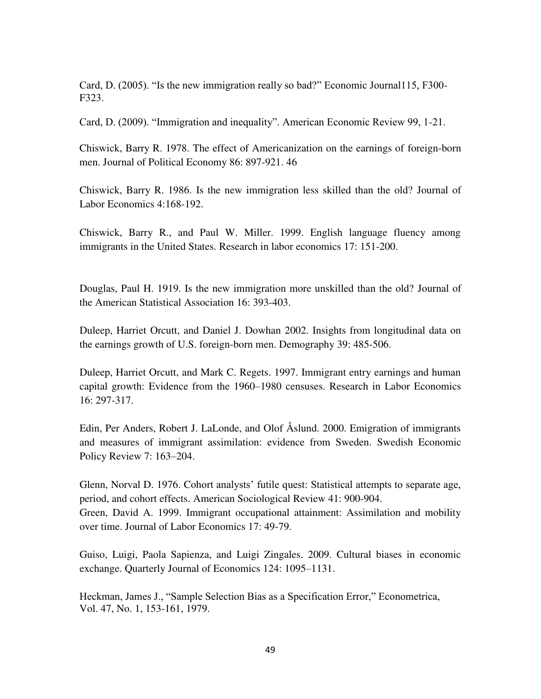Card, D. (2005). "Is the new immigration really so bad?" Economic Journal115, F300- F323.

Card, D. (2009). "Immigration and inequality". American Economic Review 99, 1-21.

Chiswick, Barry R. 1978. The effect of Americanization on the earnings of foreign-born men. Journal of Political Economy 86: 897-921. 46

Chiswick, Barry R. 1986. Is the new immigration less skilled than the old? Journal of Labor Economics 4:168-192.

Chiswick, Barry R., and Paul W. Miller. 1999. English language fluency among immigrants in the United States. Research in labor economics 17: 151-200.

Douglas, Paul H. 1919. Is the new immigration more unskilled than the old? Journal of the American Statistical Association 16: 393-403.

Duleep, Harriet Orcutt, and Daniel J. Dowhan 2002. Insights from longitudinal data on the earnings growth of U.S. foreign-born men. Demography 39: 485-506.

Duleep, Harriet Orcutt, and Mark C. Regets. 1997. Immigrant entry earnings and human capital growth: Evidence from the 1960–1980 censuses. Research in Labor Economics 16: 297-317.

Edin, Per Anders, Robert J. LaLonde, and Olof Åslund. 2000. Emigration of immigrants and measures of immigrant assimilation: evidence from Sweden. Swedish Economic Policy Review 7: 163–204.

Glenn, Norval D. 1976. Cohort analysts' futile quest: Statistical attempts to separate age, period, and cohort effects. American Sociological Review 41: 900-904. Green, David A. 1999. Immigrant occupational attainment: Assimilation and mobility over time. Journal of Labor Economics 17: 49-79.

Guiso, Luigi, Paola Sapienza, and Luigi Zingales. 2009. Cultural biases in economic exchange. Quarterly Journal of Economics 124: 1095–1131.

Heckman, James J., "Sample Selection Bias as a Specification Error," Econometrica, Vol. 47, No. 1, 153-161, 1979.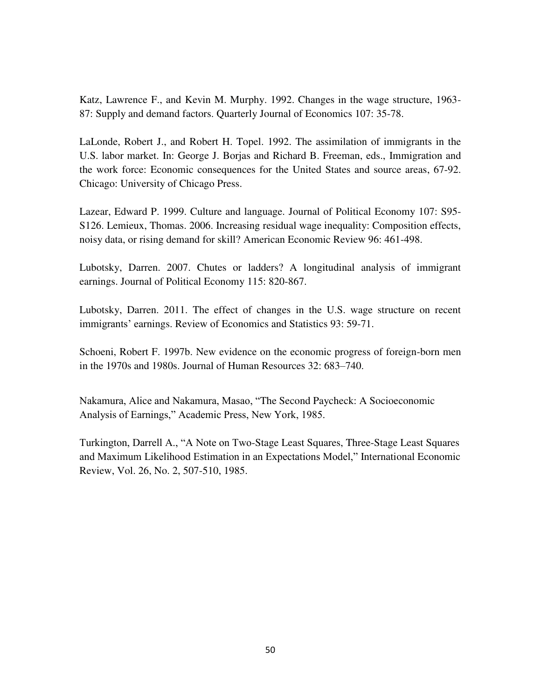Katz, Lawrence F., and Kevin M. Murphy. 1992. Changes in the wage structure, 1963- 87: Supply and demand factors. Quarterly Journal of Economics 107: 35-78.

LaLonde, Robert J., and Robert H. Topel. 1992. The assimilation of immigrants in the U.S. labor market. In: George J. Borjas and Richard B. Freeman, eds., Immigration and the work force: Economic consequences for the United States and source areas, 67-92. Chicago: University of Chicago Press.

Lazear, Edward P. 1999. Culture and language. Journal of Political Economy 107: S95- S126. Lemieux, Thomas. 2006. Increasing residual wage inequality: Composition effects, noisy data, or rising demand for skill? American Economic Review 96: 461-498.

Lubotsky, Darren. 2007. Chutes or ladders? A longitudinal analysis of immigrant earnings. Journal of Political Economy 115: 820-867.

Lubotsky, Darren. 2011. The effect of changes in the U.S. wage structure on recent immigrants' earnings. Review of Economics and Statistics 93: 59-71.

Schoeni, Robert F. 1997b. New evidence on the economic progress of foreign-born men in the 1970s and 1980s. Journal of Human Resources 32: 683–740.

Nakamura, Alice and Nakamura, Masao, "The Second Paycheck: A Socioeconomic Analysis of Earnings," Academic Press, New York, 1985.

Turkington, Darrell A., "A Note on Two-Stage Least Squares, Three-Stage Least Squares and Maximum Likelihood Estimation in an Expectations Model," International Economic Review, Vol. 26, No. 2, 507-510, 1985.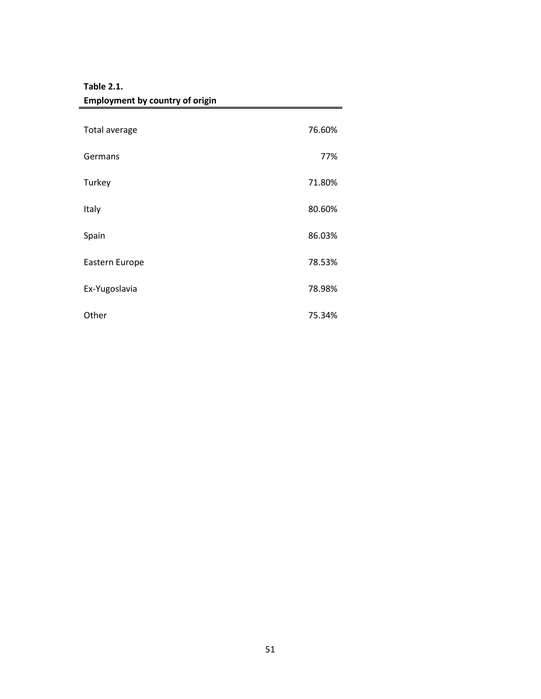| <b>Employment by country of origin</b> |        |
|----------------------------------------|--------|
| Total average                          | 76.60% |
|                                        |        |
| Germans                                | 77%    |
| Turkey                                 | 71.80% |
| Italy                                  | 80.60% |
| Spain                                  | 86.03% |
| Eastern Europe                         | 78.53% |
| Ex-Yugoslavia                          | 78.98% |
| Other                                  | 75.34% |

# **Table 2.1.**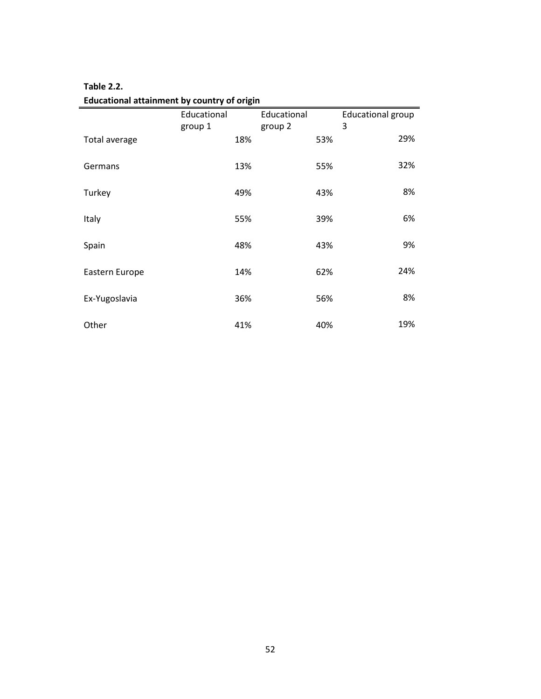| Educational attainment by country of origin |             |             |                          |  |  |
|---------------------------------------------|-------------|-------------|--------------------------|--|--|
|                                             | Educational | Educational | <b>Educational group</b> |  |  |
|                                             | group 1     | group 2     | 3                        |  |  |
| Total average                               | 18%         | 53%         | 29%                      |  |  |
| Germans                                     | 13%         | 55%         | 32%                      |  |  |
| Turkey                                      | 49%         | 43%         | 8%                       |  |  |
| Italy                                       | 55%         | 39%         | 6%                       |  |  |
| Spain                                       | 48%         | 43%         | 9%                       |  |  |
| Eastern Europe                              | 14%         | 62%         | 24%                      |  |  |
| Ex-Yugoslavia                               | 36%         | 56%         | 8%                       |  |  |
| Other                                       | 41%         | 40%         | 19%                      |  |  |

## **Table 2.2.**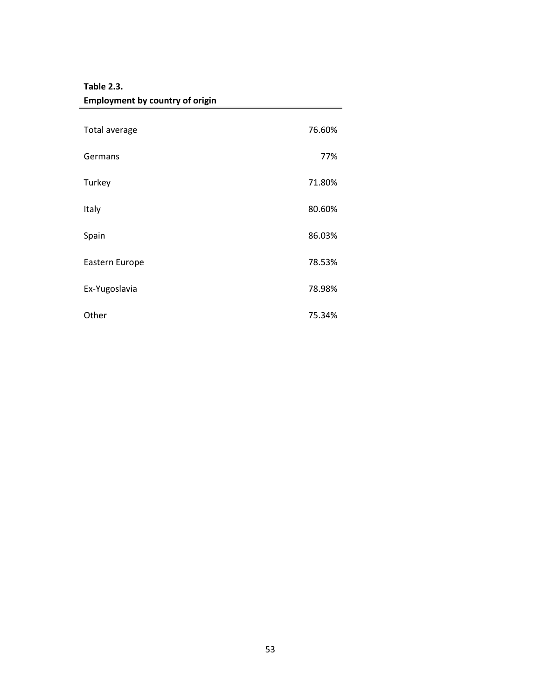| <b>Employment by country of origin</b> |        |
|----------------------------------------|--------|
| Total average                          | 76.60% |
| Germans                                | 77%    |
| Turkey                                 | 71.80% |
| Italy                                  | 80.60% |
| Spain                                  | 86.03% |
| Eastern Europe                         | 78.53% |
| Ex-Yugoslavia                          | 78.98% |
| Other                                  | 75.34% |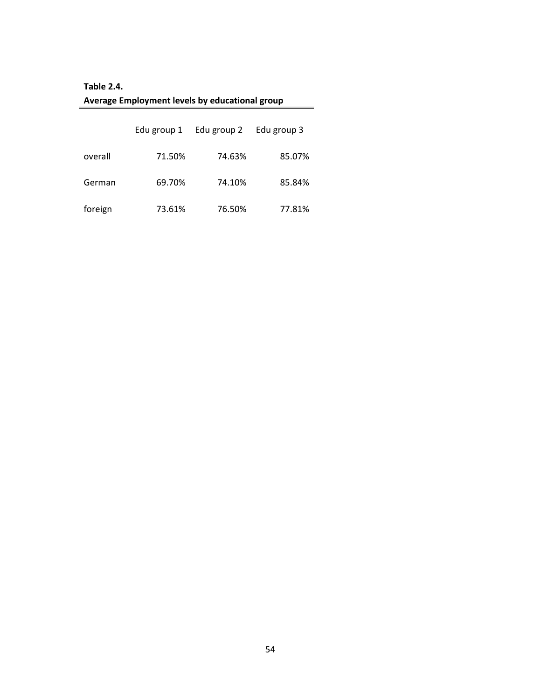| Average Employment levels by educational group |  |
|------------------------------------------------|--|
| <b>Table 2.4.</b>                              |  |

|         | Edu group 1 | Edu group 2 | Edu group 3 |
|---------|-------------|-------------|-------------|
| overall | 71.50%      | 74.63%      | 85.07%      |
| German  | 69.70%      | 74.10%      | 85.84%      |
| foreign | 73.61%      | 76.50%      | 77.81%      |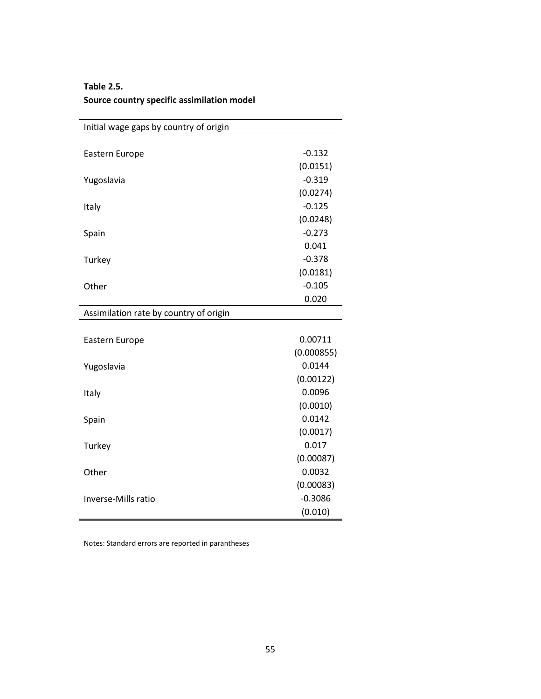| <b>Table 2.5.</b>                          |  |
|--------------------------------------------|--|
| Source country specific assimilation model |  |
|                                            |  |
|                                            |  |

| Initial wage gaps by country of origin |            |
|----------------------------------------|------------|
|                                        |            |
| Eastern Europe                         | $-0.132$   |
|                                        | (0.0151)   |
| Yugoslavia                             | $-0.319$   |
|                                        | (0.0274)   |
| Italy                                  | $-0.125$   |
|                                        | (0.0248)   |
| Spain                                  | $-0.273$   |
|                                        | 0.041      |
| Turkey                                 | $-0.378$   |
|                                        | (0.0181)   |
| Other                                  | $-0.105$   |
|                                        | 0.020      |
| Assimilation rate by country of origin |            |
|                                        |            |
| Eastern Europe                         | 0.00711    |
|                                        | (0.000855) |
| Yugoslavia                             | 0.0144     |
|                                        | (0.00122)  |
| Italy                                  | 0.0096     |
|                                        | (0.0010)   |
| Spain                                  | 0.0142     |
|                                        | (0.0017)   |
| Turkey                                 | 0.017      |
|                                        | (0.00087)  |
| Other                                  | 0.0032     |
|                                        | (0.00083)  |
| Inverse-Mills ratio                    | $-0.3086$  |
|                                        | (0.010)    |

Notes: Standard errors are reported in parantheses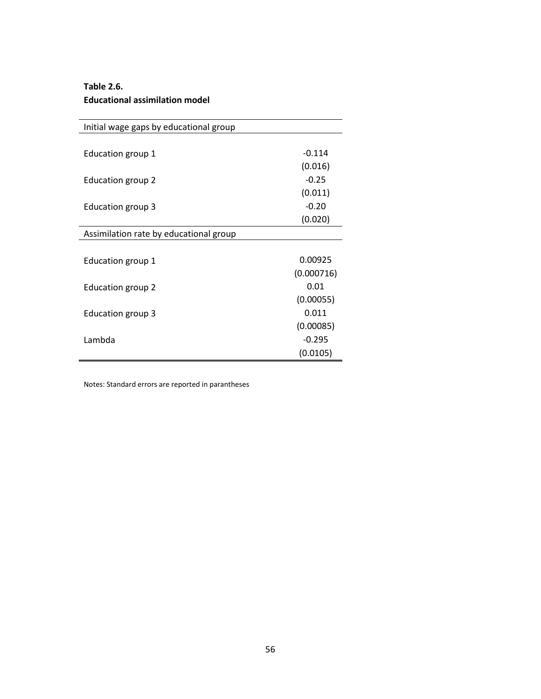#### **Table 2.6. Educational assimilation model**

| Initial wage gaps by educational group |            |
|----------------------------------------|------------|
|                                        |            |
| Education group 1                      | $-0.114$   |
|                                        | (0.016)    |
| Education group 2                      | $-0.25$    |
|                                        | (0.011)    |
| Education group 3                      | $-0.20$    |
|                                        | (0.020)    |
| Assimilation rate by educational group |            |
|                                        |            |
| Education group 1                      | 0.00925    |
|                                        | (0.000716) |
| <b>Education group 2</b>               | 0.01       |
|                                        | (0.00055)  |
| Education group 3                      | 0.011      |
|                                        | (0.00085)  |
| Lambda                                 | $-0.295$   |
|                                        | (0.0105)   |

Notes: Standard errors are reported in parantheses